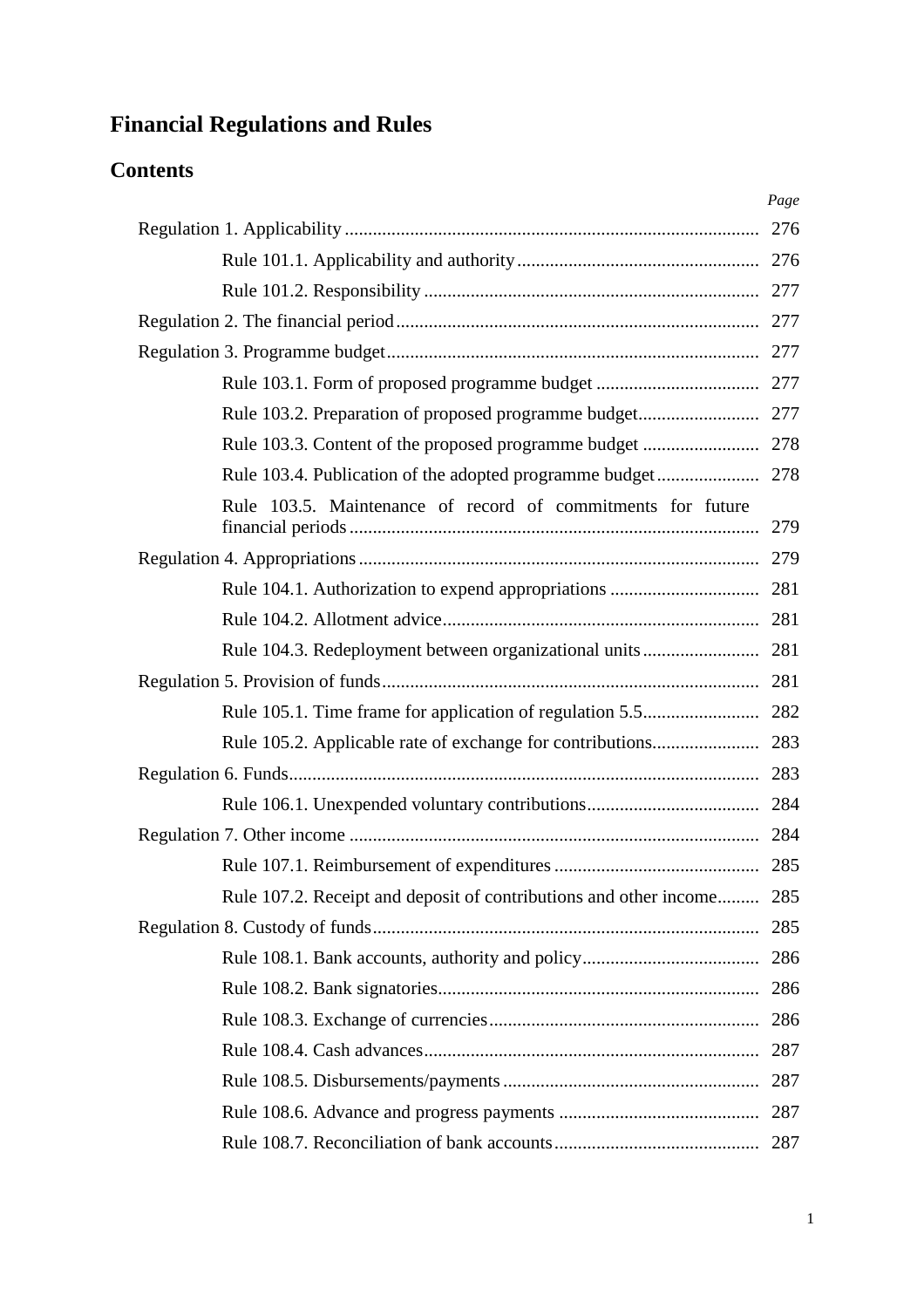# **Financial Regulations and Rules**

# **Contents**

|                                                                       | Page |
|-----------------------------------------------------------------------|------|
|                                                                       |      |
|                                                                       |      |
|                                                                       |      |
|                                                                       |      |
|                                                                       |      |
|                                                                       |      |
|                                                                       |      |
|                                                                       |      |
|                                                                       |      |
| Rule 103.5. Maintenance of record of commitments for future           |      |
|                                                                       |      |
|                                                                       |      |
|                                                                       |      |
|                                                                       |      |
|                                                                       |      |
|                                                                       |      |
|                                                                       |      |
|                                                                       |      |
|                                                                       |      |
|                                                                       |      |
|                                                                       |      |
| Rule 107.2. Receipt and deposit of contributions and other income 285 |      |
|                                                                       | 285  |
|                                                                       | 286  |
|                                                                       | 286  |
|                                                                       | 286  |
|                                                                       | 287  |
|                                                                       | 287  |
|                                                                       |      |
|                                                                       | 287  |
|                                                                       |      |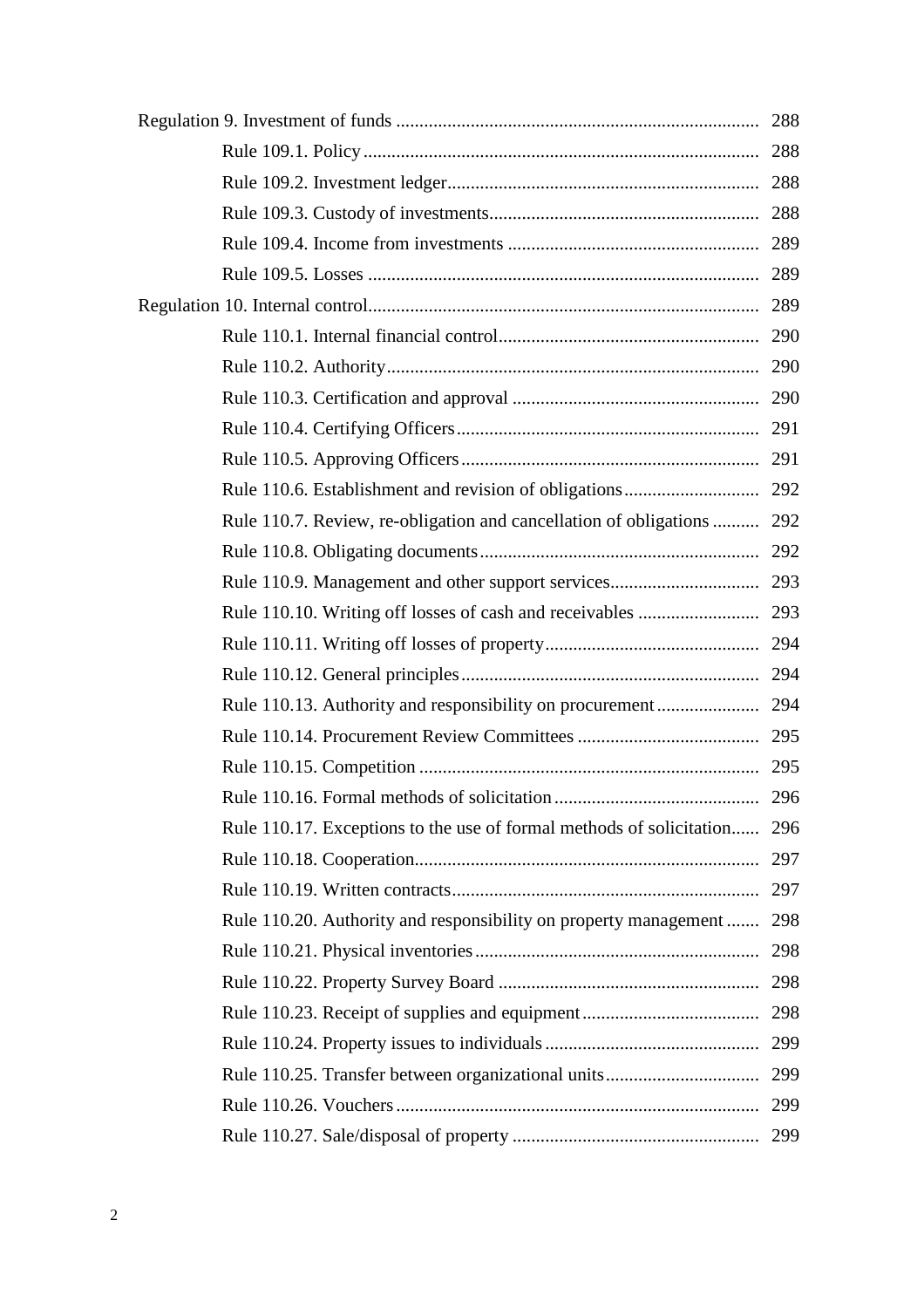| Rule 110.7. Review, re-obligation and cancellation of obligations  292   |     |
|--------------------------------------------------------------------------|-----|
|                                                                          |     |
|                                                                          |     |
|                                                                          |     |
|                                                                          |     |
|                                                                          |     |
|                                                                          |     |
|                                                                          |     |
|                                                                          |     |
|                                                                          |     |
| Rule 110.17. Exceptions to the use of formal methods of solicitation 296 |     |
|                                                                          | 297 |
|                                                                          |     |
| Rule 110.20. Authority and responsibility on property management 298     |     |
|                                                                          |     |
|                                                                          |     |
|                                                                          |     |
|                                                                          |     |
|                                                                          |     |
|                                                                          |     |
|                                                                          | 299 |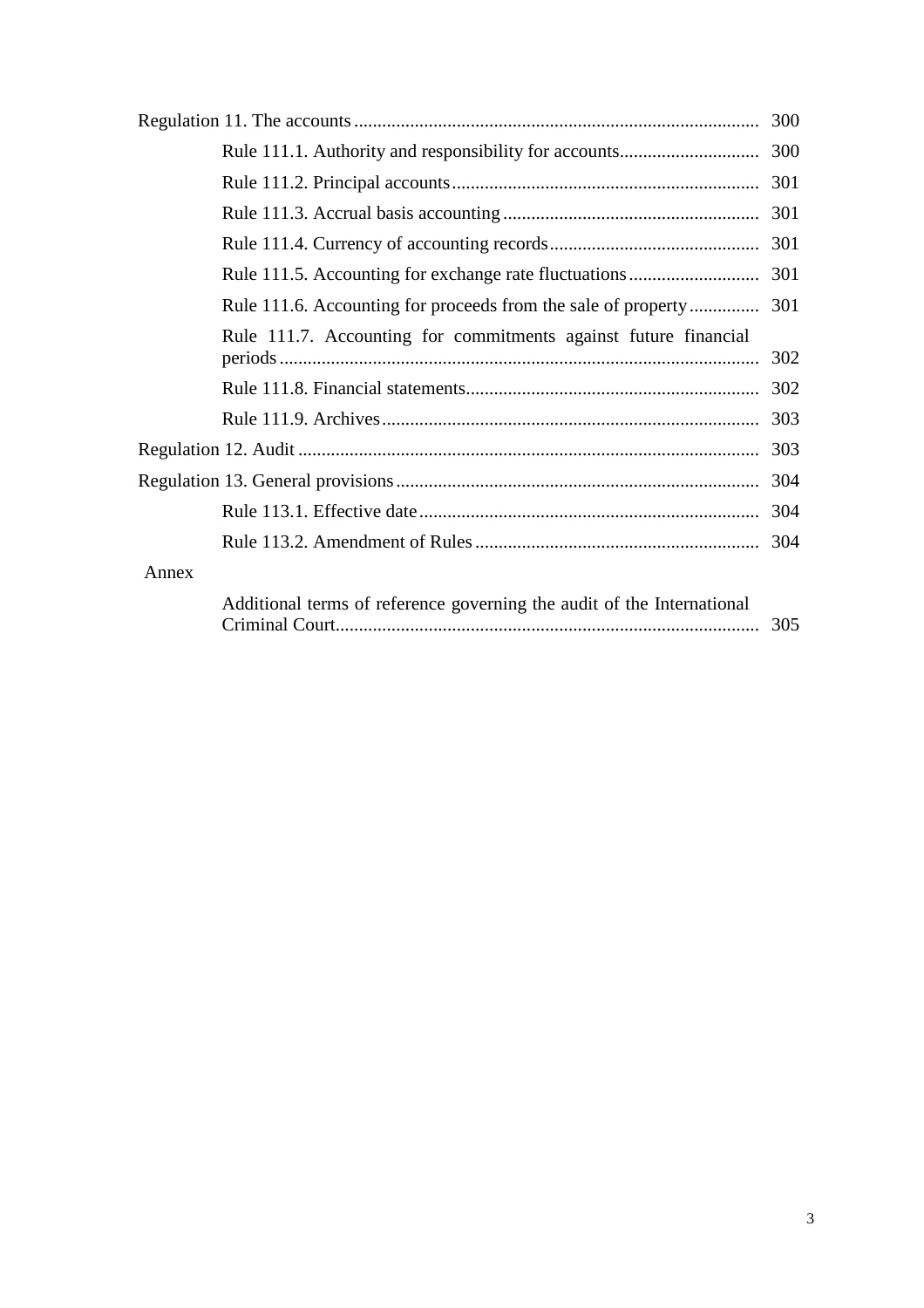|       |                                                                        | 300 |
|-------|------------------------------------------------------------------------|-----|
|       |                                                                        |     |
|       |                                                                        |     |
|       |                                                                        |     |
|       |                                                                        |     |
|       |                                                                        |     |
|       |                                                                        |     |
|       | Rule 111.7. Accounting for commitments against future financial        | 302 |
|       |                                                                        |     |
|       |                                                                        |     |
|       |                                                                        |     |
|       |                                                                        |     |
|       |                                                                        |     |
|       |                                                                        |     |
| Annex |                                                                        |     |
|       | Additional terms of reference governing the audit of the International | 305 |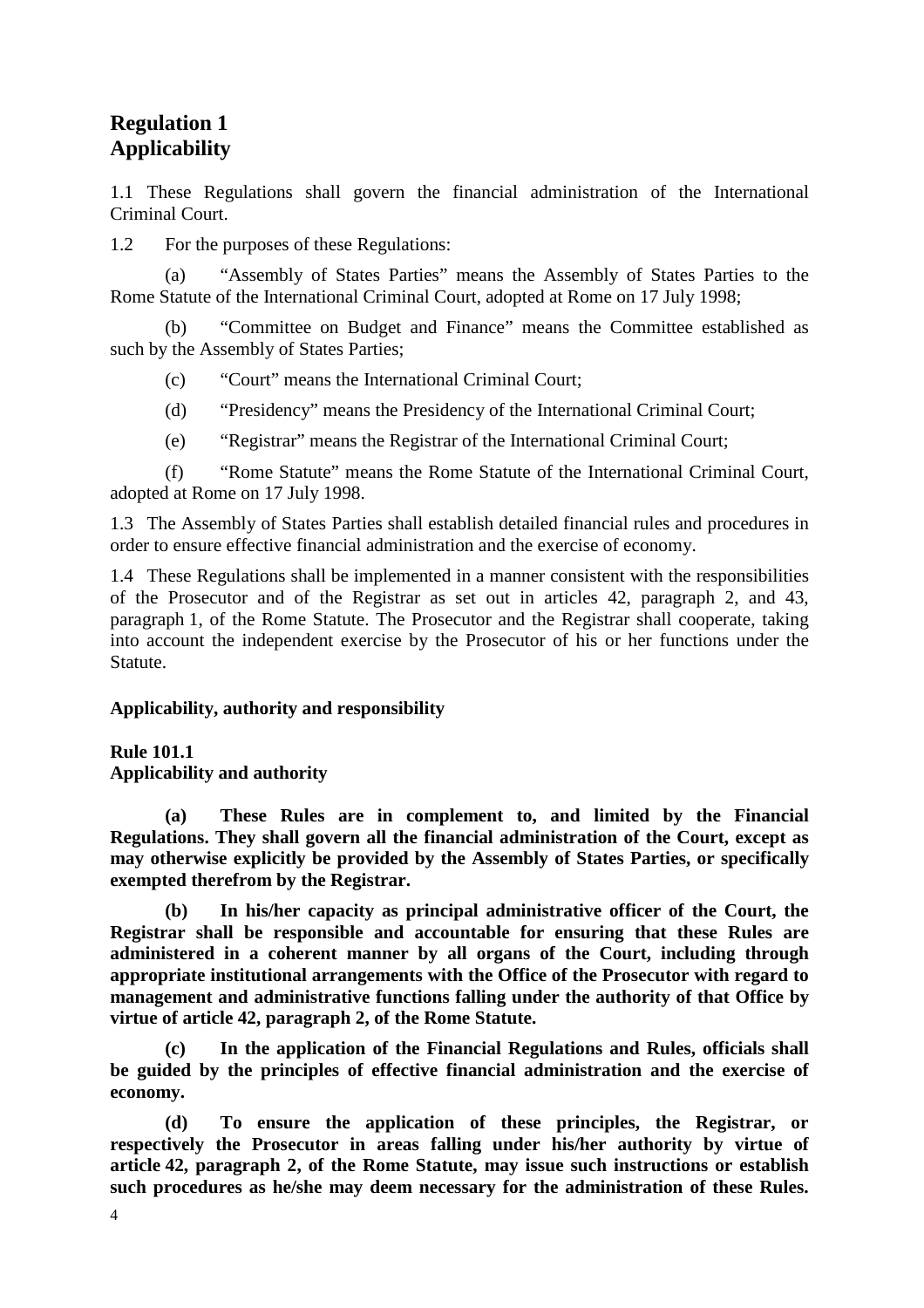# **Regulation 1 Applicability**

1.1 These Regulations shall govern the financial administration of the International Criminal Court.

1.2 For the purposes of these Regulations:

 (a) "Assembly of States Parties" means the Assembly of States Parties to the Rome Statute of the International Criminal Court, adopted at Rome on 17 July 1998;

 (b) "Committee on Budget and Finance" means the Committee established as such by the Assembly of States Parties;

(c) "Court" means the International Criminal Court;

- (d) "Presidency" means the Presidency of the International Criminal Court;
- (e) "Registrar" means the Registrar of the International Criminal Court;

 (f) "Rome Statute" means the Rome Statute of the International Criminal Court, adopted at Rome on 17 July 1998.

1.3 The Assembly of States Parties shall establish detailed financial rules and procedures in order to ensure effective financial administration and the exercise of economy.

1.4 These Regulations shall be implemented in a manner consistent with the responsibilities of the Prosecutor and of the Registrar as set out in articles 42, paragraph 2, and 43, paragraph 1, of the Rome Statute. The Prosecutor and the Registrar shall cooperate, taking into account the independent exercise by the Prosecutor of his or her functions under the Statute.

# **Applicability, authority and responsibility**

### **Rule 101.1**

**Applicability and authority** 

 **(a) These Rules are in complement to, and limited by the Financial Regulations. They shall govern all the financial administration of the Court, except as may otherwise explicitly be provided by the Assembly of States Parties, or specifically exempted therefrom by the Registrar.** 

 **(b) In his/her capacity as principal administrative officer of the Court, the Registrar shall be responsible and accountable for ensuring that these Rules are administered in a coherent manner by all organs of the Court, including through appropriate institutional arrangements with the Office of the Prosecutor with regard to management and administrative functions falling under the authority of that Office by virtue of article 42, paragraph 2, of the Rome Statute.** 

 **(c) In the application of the Financial Regulations and Rules, officials shall be guided by the principles of effective financial administration and the exercise of economy.** 

 **(d) To ensure the application of these principles, the Registrar, or respectively the Prosecutor in areas falling under his/her authority by virtue of article 42, paragraph 2, of the Rome Statute, may issue such instructions or establish such procedures as he/she may deem necessary for the administration of these Rules.**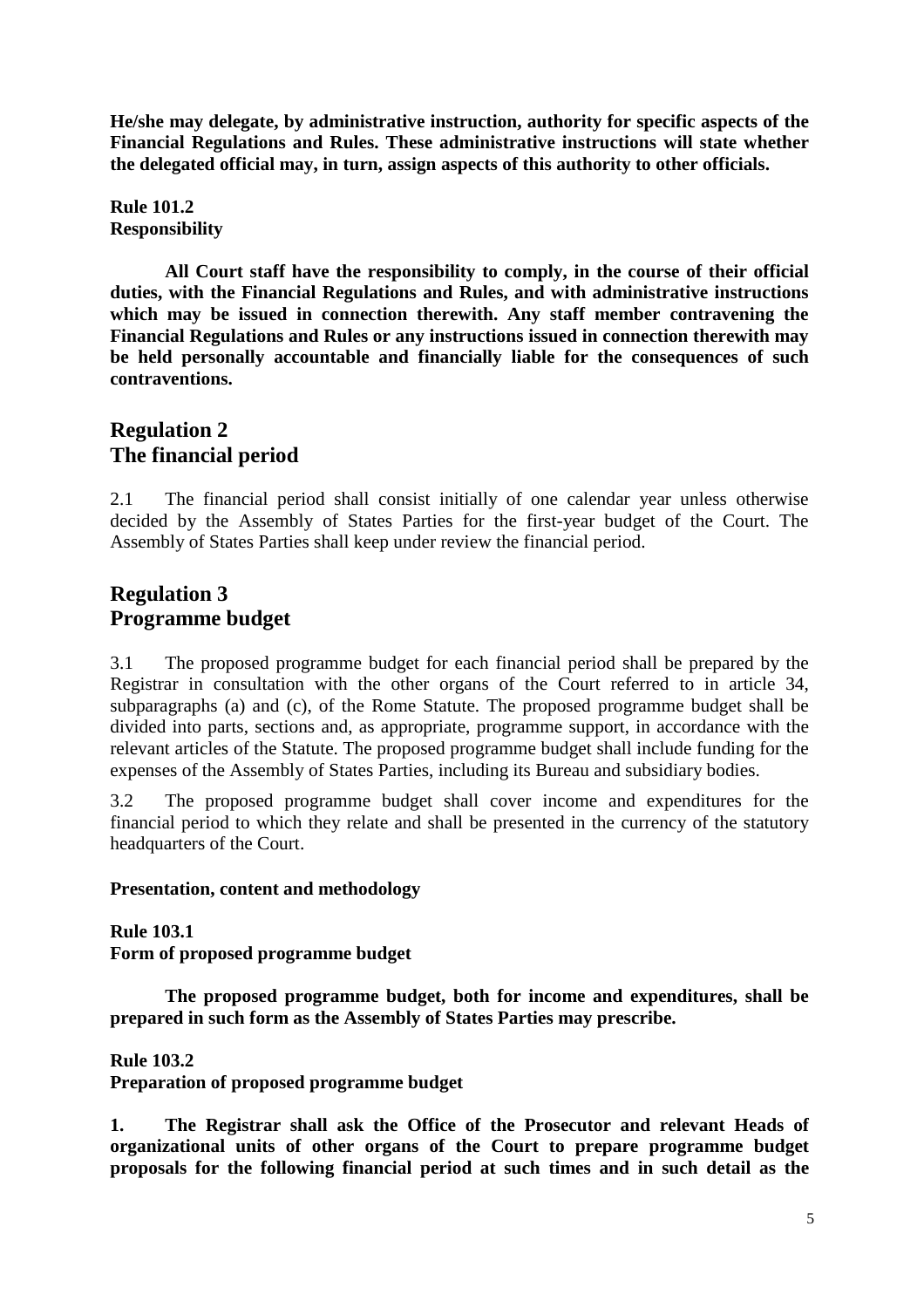**He/she may delegate, by administrative instruction, authority for specific aspects of the Financial Regulations and Rules. These administrative instructions will state whether the delegated official may, in turn, assign aspects of this authority to other officials.** 

**Rule 101.2 Responsibility** 

 **All Court staff have the responsibility to comply, in the course of their official duties, with the Financial Regulations and Rules, and with administrative instructions which may be issued in connection therewith. Any staff member contravening the Financial Regulations and Rules or any instructions issued in connection therewith may be held personally accountable and financially liable for the consequences of such contraventions.** 

# **Regulation 2 The financial period**

2.1 The financial period shall consist initially of one calendar year unless otherwise decided by the Assembly of States Parties for the first-year budget of the Court. The Assembly of States Parties shall keep under review the financial period.

# **Regulation 3 Programme budget**

3.1 The proposed programme budget for each financial period shall be prepared by the Registrar in consultation with the other organs of the Court referred to in article 34, subparagraphs (a) and (c), of the Rome Statute. The proposed programme budget shall be divided into parts, sections and, as appropriate, programme support, in accordance with the relevant articles of the Statute. The proposed programme budget shall include funding for the expenses of the Assembly of States Parties, including its Bureau and subsidiary bodies.

3.2 The proposed programme budget shall cover income and expenditures for the financial period to which they relate and shall be presented in the currency of the statutory headquarters of the Court.

# **Presentation, content and methodology**

**Rule 103.1** 

**Form of proposed programme budget** 

 **The proposed programme budget, both for income and expenditures, shall be prepared in such form as the Assembly of States Parties may prescribe.**

**Rule 103.2** 

**Preparation of proposed programme budget** 

**1. The Registrar shall ask the Office of the Prosecutor and relevant Heads of organizational units of other organs of the Court to prepare programme budget proposals for the following financial period at such times and in such detail as the**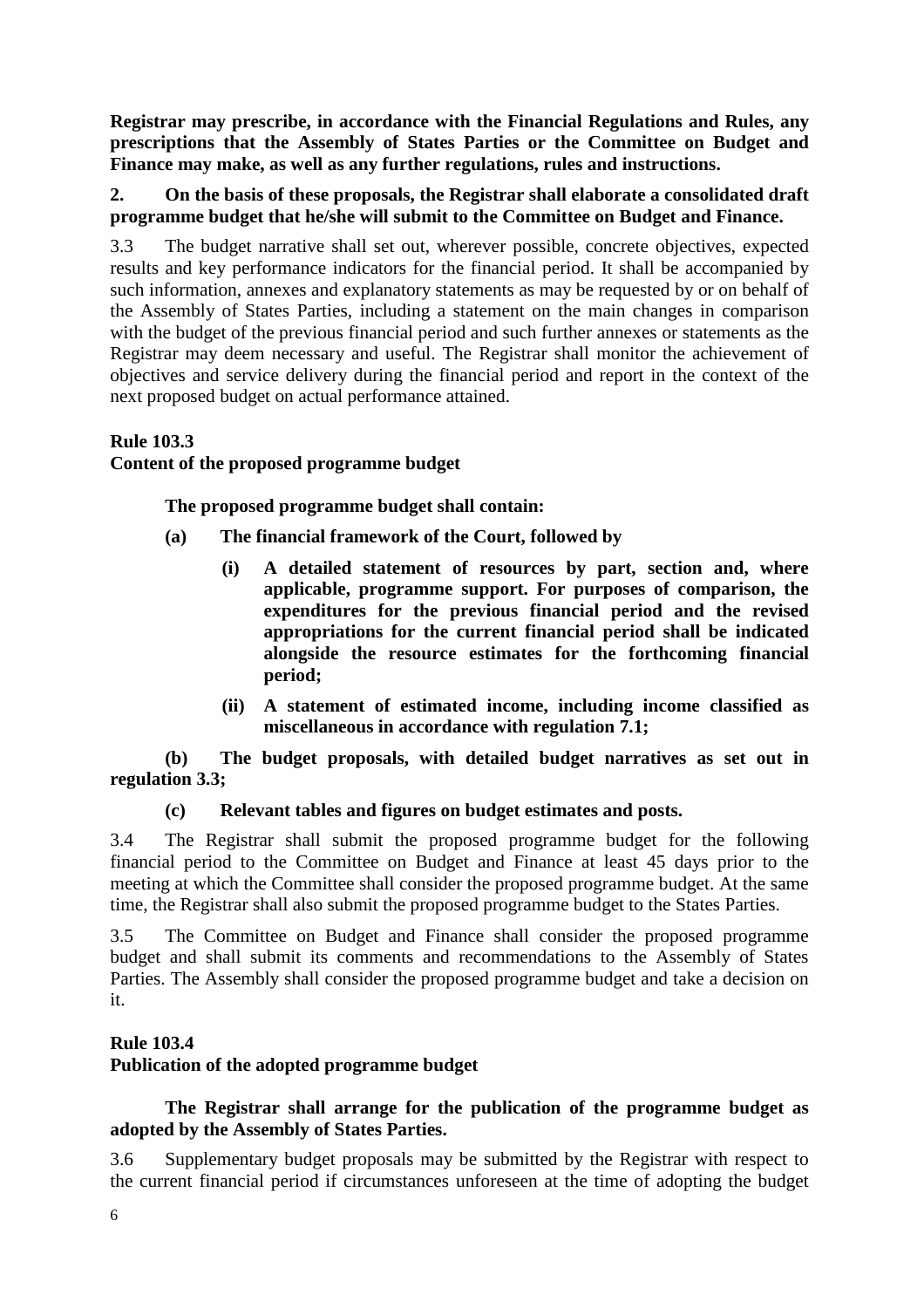**Registrar may prescribe, in accordance with the Financial Regulations and Rules, any prescriptions that the Assembly of States Parties or the Committee on Budget and Finance may make, as well as any further regulations, rules and instructions.** 

# **2. On the basis of these proposals, the Registrar shall elaborate a consolidated draft programme budget that he/she will submit to the Committee on Budget and Finance.**

3.3 The budget narrative shall set out, wherever possible, concrete objectives, expected results and key performance indicators for the financial period. It shall be accompanied by such information, annexes and explanatory statements as may be requested by or on behalf of the Assembly of States Parties, including a statement on the main changes in comparison with the budget of the previous financial period and such further annexes or statements as the Registrar may deem necessary and useful. The Registrar shall monitor the achievement of objectives and service delivery during the financial period and report in the context of the next proposed budget on actual performance attained.

# **Rule 103.3**

# **Content of the proposed programme budget**

 **The proposed programme budget shall contain:** 

- **(a) The financial framework of the Court, followed by** 
	- **(i) A detailed statement of resources by part, section and, where applicable, programme support. For purposes of comparison, the expenditures for the previous financial period and the revised appropriations for the current financial period shall be indicated alongside the resource estimates for the forthcoming financial period;**
	- **(ii) A statement of estimated income, including income classified as miscellaneous in accordance with regulation 7.1;**

## **(b) The budget proposals, with detailed budget narratives as set out in regulation 3.3;**

# **(c) Relevant tables and figures on budget estimates and posts.**

3.4 The Registrar shall submit the proposed programme budget for the following financial period to the Committee on Budget and Finance at least 45 days prior to the meeting at which the Committee shall consider the proposed programme budget. At the same time, the Registrar shall also submit the proposed programme budget to the States Parties.

3.5 The Committee on Budget and Finance shall consider the proposed programme budget and shall submit its comments and recommendations to the Assembly of States Parties. The Assembly shall consider the proposed programme budget and take a decision on it.

# **Rule 103.4**

# **Publication of the adopted programme budget**

# **The Registrar shall arrange for the publication of the programme budget as adopted by the Assembly of States Parties.**

3.6 Supplementary budget proposals may be submitted by the Registrar with respect to the current financial period if circumstances unforeseen at the time of adopting the budget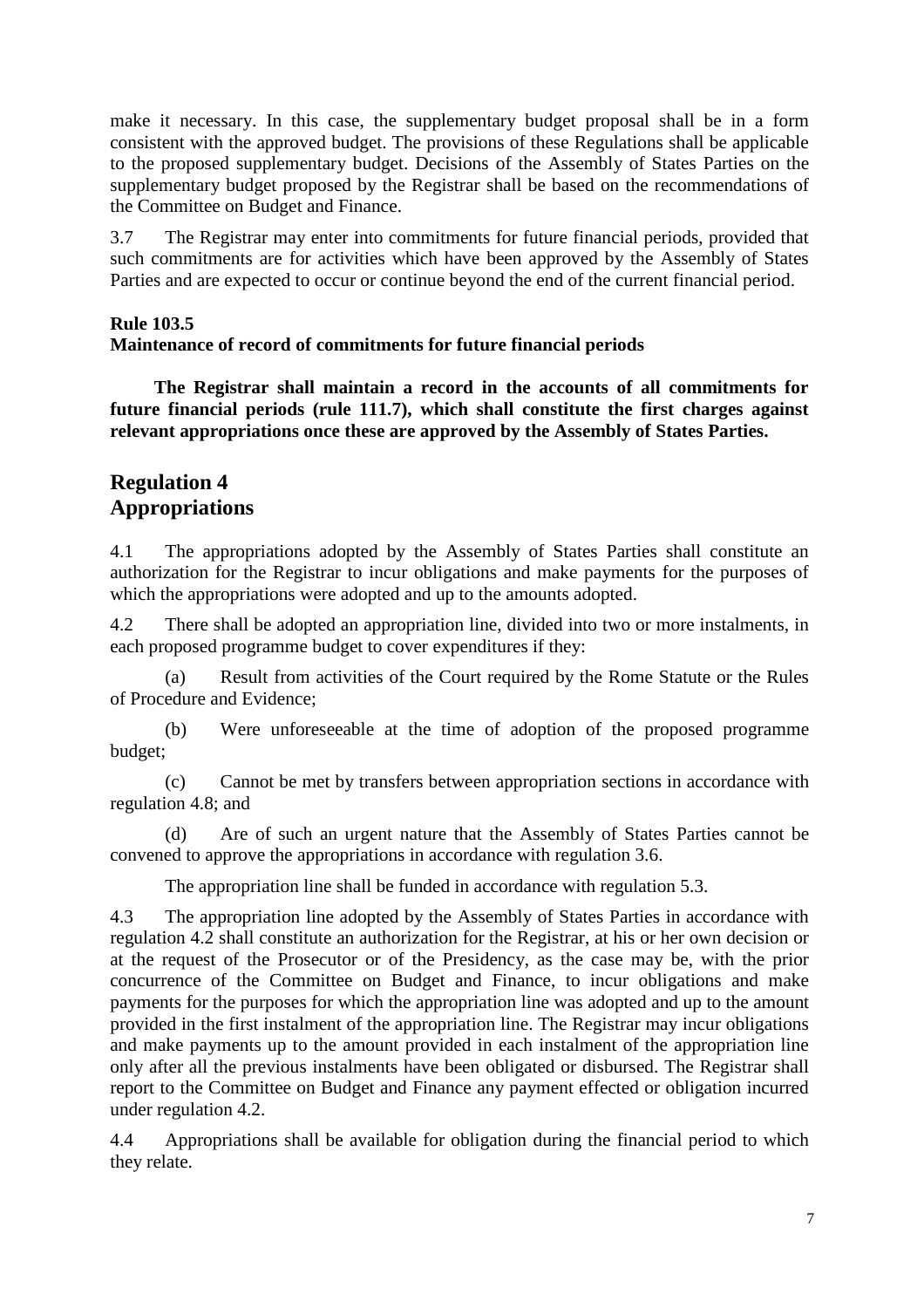make it necessary. In this case, the supplementary budget proposal shall be in a form consistent with the approved budget. The provisions of these Regulations shall be applicable to the proposed supplementary budget. Decisions of the Assembly of States Parties on the supplementary budget proposed by the Registrar shall be based on the recommendations of the Committee on Budget and Finance.

3.7 The Registrar may enter into commitments for future financial periods, provided that such commitments are for activities which have been approved by the Assembly of States Parties and are expected to occur or continue beyond the end of the current financial period.

## **Rule 103.5**

## **Maintenance of record of commitments for future financial periods**

**The Registrar shall maintain a record in the accounts of all commitments for future financial periods (rule 111.7), which shall constitute the first charges against relevant appropriations once these are approved by the Assembly of States Parties.** 

# **Regulation 4 Appropriations**

4.1 The appropriations adopted by the Assembly of States Parties shall constitute an authorization for the Registrar to incur obligations and make payments for the purposes of which the appropriations were adopted and up to the amounts adopted.

4.2 There shall be adopted an appropriation line, divided into two or more instalments, in each proposed programme budget to cover expenditures if they:

 (a) Result from activities of the Court required by the Rome Statute or the Rules of Procedure and Evidence;

 (b) Were unforeseeable at the time of adoption of the proposed programme budget;

 (c) Cannot be met by transfers between appropriation sections in accordance with regulation 4.8; and

 (d) Are of such an urgent nature that the Assembly of States Parties cannot be convened to approve the appropriations in accordance with regulation 3.6.

The appropriation line shall be funded in accordance with regulation 5.3.

4.3 The appropriation line adopted by the Assembly of States Parties in accordance with regulation 4.2 shall constitute an authorization for the Registrar, at his or her own decision or at the request of the Prosecutor or of the Presidency, as the case may be, with the prior concurrence of the Committee on Budget and Finance, to incur obligations and make payments for the purposes for which the appropriation line was adopted and up to the amount provided in the first instalment of the appropriation line. The Registrar may incur obligations and make payments up to the amount provided in each instalment of the appropriation line only after all the previous instalments have been obligated or disbursed. The Registrar shall report to the Committee on Budget and Finance any payment effected or obligation incurred under regulation 4.2.

4.4 Appropriations shall be available for obligation during the financial period to which they relate.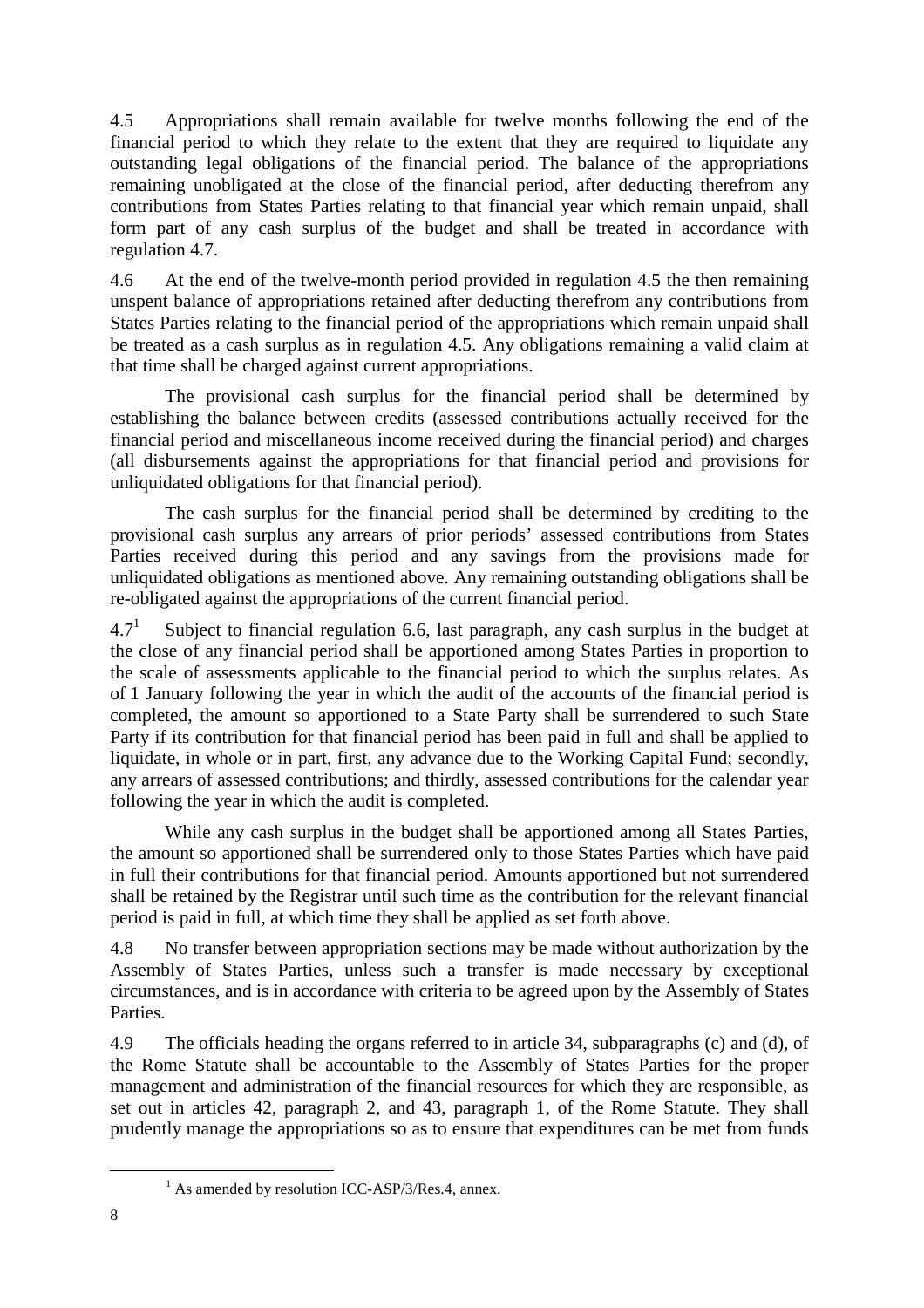4.5 Appropriations shall remain available for twelve months following the end of the financial period to which they relate to the extent that they are required to liquidate any outstanding legal obligations of the financial period. The balance of the appropriations remaining unobligated at the close of the financial period, after deducting therefrom any contributions from States Parties relating to that financial year which remain unpaid, shall form part of any cash surplus of the budget and shall be treated in accordance with regulation 4.7.

4.6 At the end of the twelve-month period provided in regulation 4.5 the then remaining unspent balance of appropriations retained after deducting therefrom any contributions from States Parties relating to the financial period of the appropriations which remain unpaid shall be treated as a cash surplus as in regulation 4.5. Any obligations remaining a valid claim at that time shall be charged against current appropriations.

 The provisional cash surplus for the financial period shall be determined by establishing the balance between credits (assessed contributions actually received for the financial period and miscellaneous income received during the financial period) and charges (all disbursements against the appropriations for that financial period and provisions for unliquidated obligations for that financial period).

 The cash surplus for the financial period shall be determined by crediting to the provisional cash surplus any arrears of prior periods' assessed contributions from States Parties received during this period and any savings from the provisions made for unliquidated obligations as mentioned above. Any remaining outstanding obligations shall be re-obligated against the appropriations of the current financial period.

 $4.7^{1}$  Subject to financial regulation 6.6, last paragraph, any cash surplus in the budget at the close of any financial period shall be apportioned among States Parties in proportion to the scale of assessments applicable to the financial period to which the surplus relates. As of 1 January following the year in which the audit of the accounts of the financial period is completed, the amount so apportioned to a State Party shall be surrendered to such State Party if its contribution for that financial period has been paid in full and shall be applied to liquidate, in whole or in part, first, any advance due to the Working Capital Fund; secondly, any arrears of assessed contributions; and thirdly, assessed contributions for the calendar year following the year in which the audit is completed.

 While any cash surplus in the budget shall be apportioned among all States Parties, the amount so apportioned shall be surrendered only to those States Parties which have paid in full their contributions for that financial period. Amounts apportioned but not surrendered shall be retained by the Registrar until such time as the contribution for the relevant financial period is paid in full, at which time they shall be applied as set forth above.

4.8 No transfer between appropriation sections may be made without authorization by the Assembly of States Parties, unless such a transfer is made necessary by exceptional circumstances, and is in accordance with criteria to be agreed upon by the Assembly of States Parties.

4.9 The officials heading the organs referred to in article 34, subparagraphs (c) and (d), of the Rome Statute shall be accountable to the Assembly of States Parties for the proper management and administration of the financial resources for which they are responsible, as set out in articles 42, paragraph 2, and 43, paragraph 1, of the Rome Statute. They shall prudently manage the appropriations so as to ensure that expenditures can be met from funds

 $\overline{a}$ 

<sup>&</sup>lt;sup>1</sup> As amended by resolution ICC-ASP/3/Res.4, annex.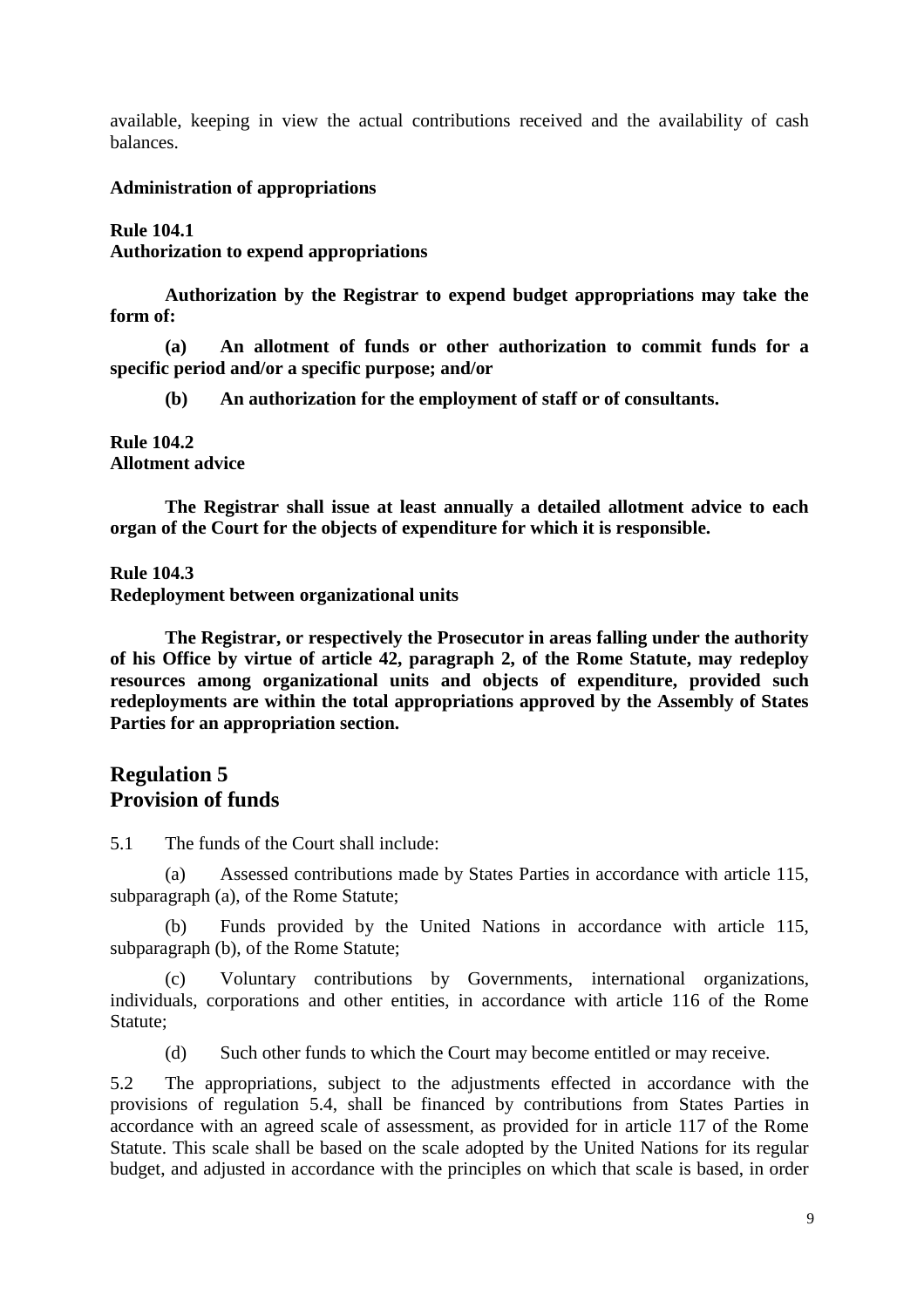available, keeping in view the actual contributions received and the availability of cash balances.

### **Administration of appropriations**

# **Rule 104.1 Authorization to expend appropriations**

 **Authorization by the Registrar to expend budget appropriations may take the form of:** 

 **(a) An allotment of funds or other authorization to commit funds for a specific period and/or a specific purpose; and/or** 

 **(b) An authorization for the employment of staff or of consultants.** 

#### **Rule 104.2 Allotment advice**

 **The Registrar shall issue at least annually a detailed allotment advice to each organ of the Court for the objects of expenditure for which it is responsible.** 

**Rule 104.3** 

**Redeployment between organizational units** 

 **The Registrar, or respectively the Prosecutor in areas falling under the authority of his Office by virtue of article 42, paragraph 2, of the Rome Statute, may redeploy resources among organizational units and objects of expenditure, provided such redeployments are within the total appropriations approved by the Assembly of States Parties for an appropriation section.** 

# **Regulation 5 Provision of funds**

5.1 The funds of the Court shall include:

 (a) Assessed contributions made by States Parties in accordance with article 115, subparagraph (a), of the Rome Statute;

 (b) Funds provided by the United Nations in accordance with article 115, subparagraph (b), of the Rome Statute;

 (c) Voluntary contributions by Governments, international organizations, individuals, corporations and other entities, in accordance with article 116 of the Rome Statute;

(d) Such other funds to which the Court may become entitled or may receive.

5.2 The appropriations, subject to the adjustments effected in accordance with the provisions of regulation 5.4, shall be financed by contributions from States Parties in accordance with an agreed scale of assessment, as provided for in article 117 of the Rome Statute. This scale shall be based on the scale adopted by the United Nations for its regular budget, and adjusted in accordance with the principles on which that scale is based, in order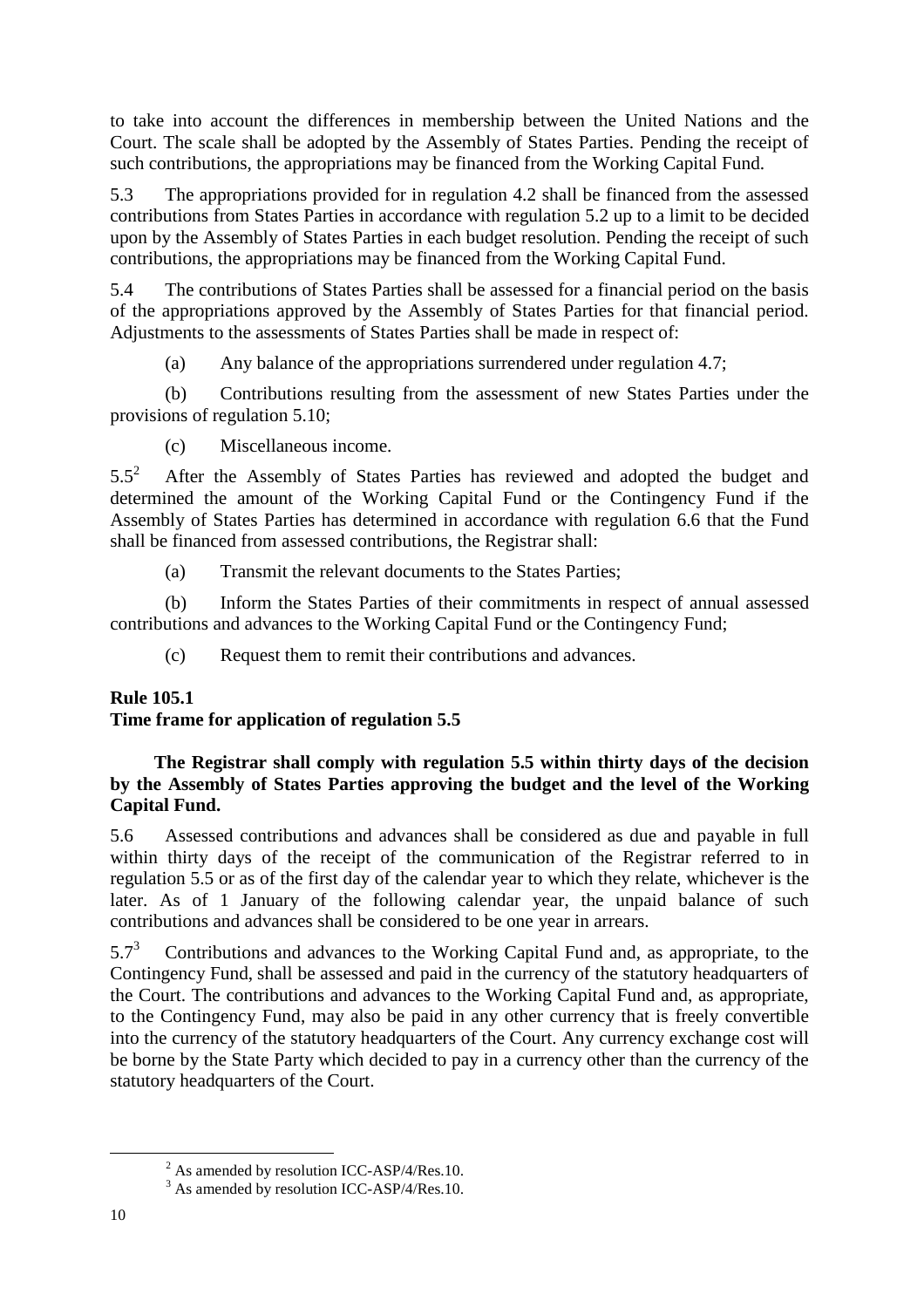to take into account the differences in membership between the United Nations and the Court. The scale shall be adopted by the Assembly of States Parties. Pending the receipt of such contributions, the appropriations may be financed from the Working Capital Fund.

5.3 The appropriations provided for in regulation 4.2 shall be financed from the assessed contributions from States Parties in accordance with regulation 5.2 up to a limit to be decided upon by the Assembly of States Parties in each budget resolution. Pending the receipt of such contributions, the appropriations may be financed from the Working Capital Fund.

5.4 The contributions of States Parties shall be assessed for a financial period on the basis of the appropriations approved by the Assembly of States Parties for that financial period. Adjustments to the assessments of States Parties shall be made in respect of:

(a) Any balance of the appropriations surrendered under regulation 4.7;

 (b) Contributions resulting from the assessment of new States Parties under the provisions of regulation 5.10;

(c) Miscellaneous income.

 $5.5^2$  After the Assembly of States Parties has reviewed and adopted the budget and determined the amount of the Working Capital Fund or the Contingency Fund if the Assembly of States Parties has determined in accordance with regulation 6.6 that the Fund shall be financed from assessed contributions, the Registrar shall:

(a) Transmit the relevant documents to the States Parties;

 (b) Inform the States Parties of their commitments in respect of annual assessed contributions and advances to the Working Capital Fund or the Contingency Fund;

(c) Request them to remit their contributions and advances.

# **Rule 105.1**

# **Time frame for application of regulation 5.5**

## **The Registrar shall comply with regulation 5.5 within thirty days of the decision by the Assembly of States Parties approving the budget and the level of the Working Capital Fund.**

5.6 Assessed contributions and advances shall be considered as due and payable in full within thirty days of the receipt of the communication of the Registrar referred to in regulation 5.5 or as of the first day of the calendar year to which they relate, whichever is the later. As of 1 January of the following calendar year, the unpaid balance of such contributions and advances shall be considered to be one year in arrears.

5.7<sup>3</sup> Contributions and advances to the Working Capital Fund and, as appropriate, to the Contingency Fund, shall be assessed and paid in the currency of the statutory headquarters of the Court. The contributions and advances to the Working Capital Fund and, as appropriate, to the Contingency Fund, may also be paid in any other currency that is freely convertible into the currency of the statutory headquarters of the Court. Any currency exchange cost will be borne by the State Party which decided to pay in a currency other than the currency of the statutory headquarters of the Court.

 $\overline{a}$ 

 $2^2$  As amended by resolution ICC-ASP/4/Res.10.

<sup>&</sup>lt;sup>3</sup> As amended by resolution ICC-ASP/4/Res.10.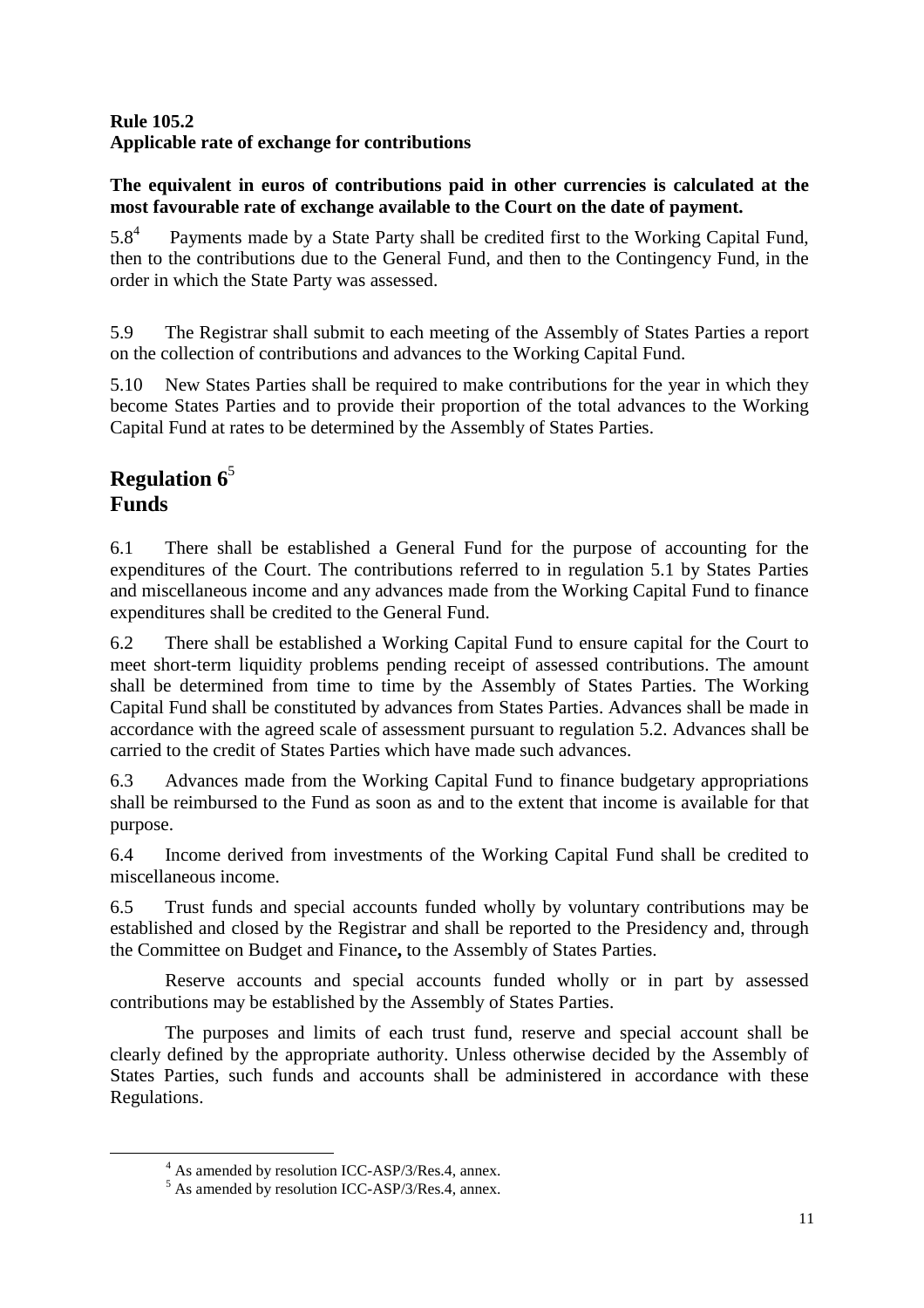# **Rule 105.2 Applicable rate of exchange for contributions**

# **The equivalent in euros of contributions paid in other currencies is calculated at the most favourable rate of exchange available to the Court on the date of payment.**

5.8<sup>4</sup> Payments made by a State Party shall be credited first to the Working Capital Fund, then to the contributions due to the General Fund, and then to the Contingency Fund, in the order in which the State Party was assessed.

5.9 The Registrar shall submit to each meeting of the Assembly of States Parties a report on the collection of contributions and advances to the Working Capital Fund.

5.10 New States Parties shall be required to make contributions for the year in which they become States Parties and to provide their proportion of the total advances to the Working Capital Fund at rates to be determined by the Assembly of States Parties.

# **Regulation 6**<sup>5</sup> **Funds**

 $\overline{a}$ 

6.1 There shall be established a General Fund for the purpose of accounting for the expenditures of the Court. The contributions referred to in regulation 5.1 by States Parties and miscellaneous income and any advances made from the Working Capital Fund to finance expenditures shall be credited to the General Fund.

6.2 There shall be established a Working Capital Fund to ensure capital for the Court to meet short-term liquidity problems pending receipt of assessed contributions. The amount shall be determined from time to time by the Assembly of States Parties. The Working Capital Fund shall be constituted by advances from States Parties. Advances shall be made in accordance with the agreed scale of assessment pursuant to regulation 5.2. Advances shall be carried to the credit of States Parties which have made such advances.

6.3 Advances made from the Working Capital Fund to finance budgetary appropriations shall be reimbursed to the Fund as soon as and to the extent that income is available for that purpose.

6.4 Income derived from investments of the Working Capital Fund shall be credited to miscellaneous income.

6.5 Trust funds and special accounts funded wholly by voluntary contributions may be established and closed by the Registrar and shall be reported to the Presidency and, through the Committee on Budget and Finance**,** to the Assembly of States Parties.

 Reserve accounts and special accounts funded wholly or in part by assessed contributions may be established by the Assembly of States Parties.

 The purposes and limits of each trust fund, reserve and special account shall be clearly defined by the appropriate authority. Unless otherwise decided by the Assembly of States Parties, such funds and accounts shall be administered in accordance with these Regulations.

<sup>&</sup>lt;sup>4</sup> As amended by resolution ICC-ASP/3/Res.4, annex.

<sup>&</sup>lt;sup>5</sup> As amended by resolution ICC-ASP/3/Res.4, annex.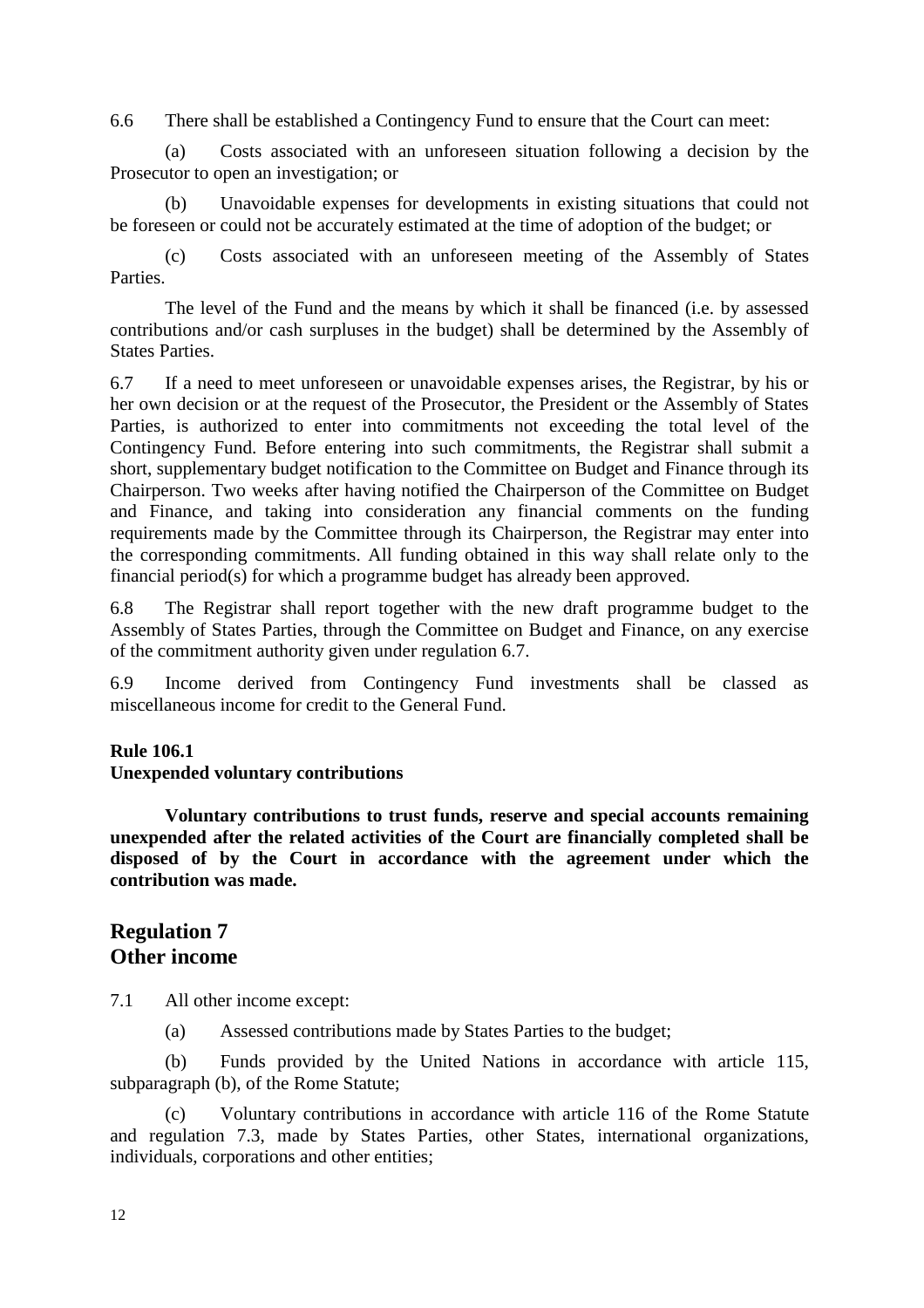6.6 There shall be established a Contingency Fund to ensure that the Court can meet:

 (a) Costs associated with an unforeseen situation following a decision by the Prosecutor to open an investigation; or

 (b) Unavoidable expenses for developments in existing situations that could not be foreseen or could not be accurately estimated at the time of adoption of the budget; or

 (c) Costs associated with an unforeseen meeting of the Assembly of States **Parties** 

 The level of the Fund and the means by which it shall be financed (i.e. by assessed contributions and/or cash surpluses in the budget) shall be determined by the Assembly of States Parties.

6.7 If a need to meet unforeseen or unavoidable expenses arises, the Registrar, by his or her own decision or at the request of the Prosecutor, the President or the Assembly of States Parties, is authorized to enter into commitments not exceeding the total level of the Contingency Fund. Before entering into such commitments, the Registrar shall submit a short, supplementary budget notification to the Committee on Budget and Finance through its Chairperson. Two weeks after having notified the Chairperson of the Committee on Budget and Finance, and taking into consideration any financial comments on the funding requirements made by the Committee through its Chairperson, the Registrar may enter into the corresponding commitments. All funding obtained in this way shall relate only to the financial period(s) for which a programme budget has already been approved.

6.8 The Registrar shall report together with the new draft programme budget to the Assembly of States Parties, through the Committee on Budget and Finance, on any exercise of the commitment authority given under regulation 6.7.

6.9 Income derived from Contingency Fund investments shall be classed as miscellaneous income for credit to the General Fund.

### **Rule 106.1**

### **Unexpended voluntary contributions**

 **Voluntary contributions to trust funds, reserve and special accounts remaining unexpended after the related activities of the Court are financially completed shall be disposed of by the Court in accordance with the agreement under which the contribution was made.** 

# **Regulation 7 Other income**

7.1 All other income except:

(a) Assessed contributions made by States Parties to the budget;

 (b) Funds provided by the United Nations in accordance with article 115, subparagraph (b), of the Rome Statute;

 (c) Voluntary contributions in accordance with article 116 of the Rome Statute and regulation 7.3, made by States Parties, other States, international organizations, individuals, corporations and other entities;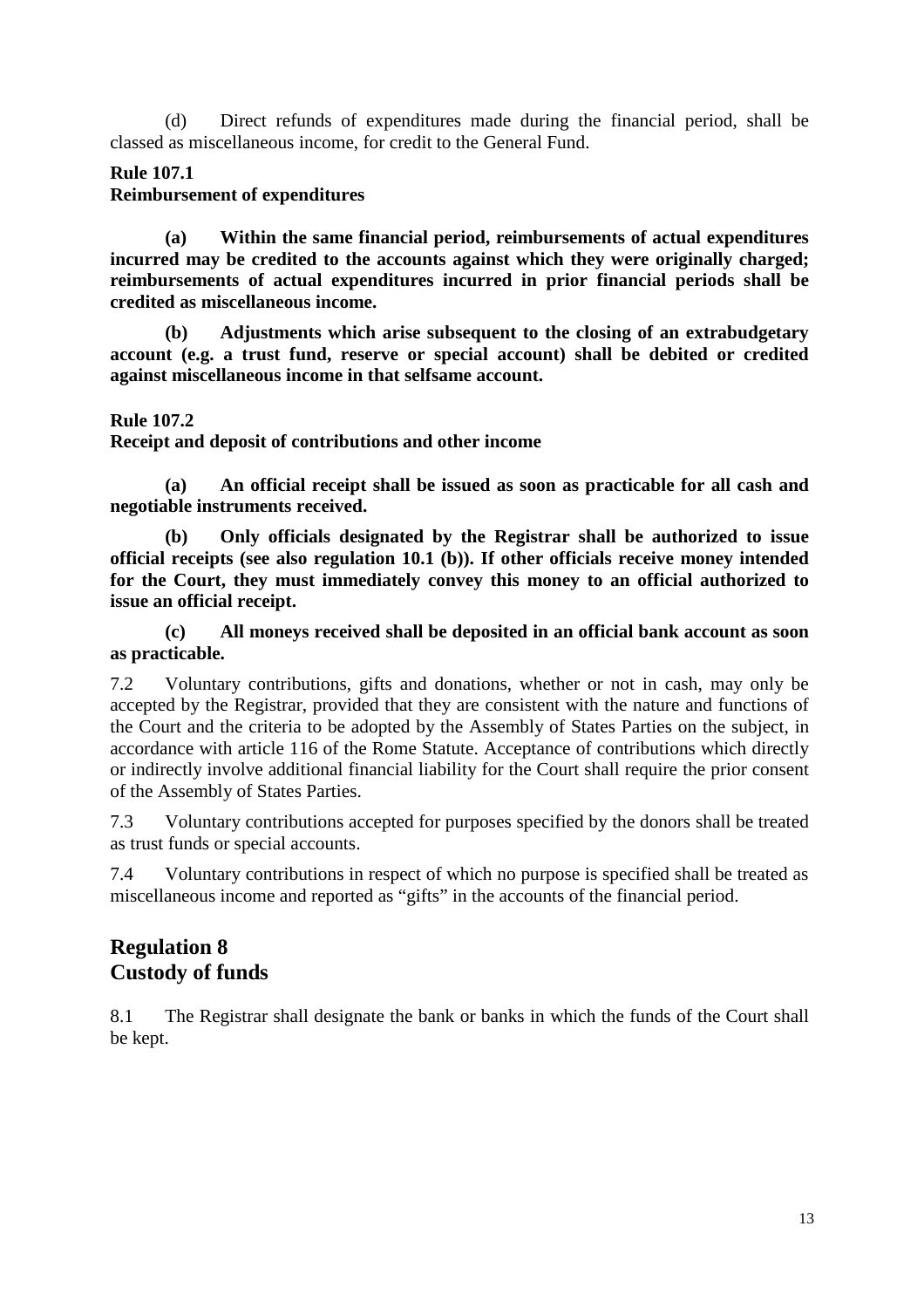(d) Direct refunds of expenditures made during the financial period, shall be classed as miscellaneous income, for credit to the General Fund.

## **Rule 107.1**

## **Reimbursement of expenditures**

 **(a) Within the same financial period, reimbursements of actual expenditures incurred may be credited to the accounts against which they were originally charged; reimbursements of actual expenditures incurred in prior financial periods shall be credited as miscellaneous income.** 

 **(b) Adjustments which arise subsequent to the closing of an extrabudgetary account (e.g. a trust fund, reserve or special account) shall be debited or credited against miscellaneous income in that selfsame account.** 

### **Rule 107.2**

**Receipt and deposit of contributions and other income** 

 **(a) An official receipt shall be issued as soon as practicable for all cash and negotiable instruments received.** 

 **(b) Only officials designated by the Registrar shall be authorized to issue official receipts (see also regulation 10.1 (b)). If other officials receive money intended for the Court, they must immediately convey this money to an official authorized to issue an official receipt.** 

 **(c) All moneys received shall be deposited in an official bank account as soon as practicable.** 

7.2 Voluntary contributions, gifts and donations, whether or not in cash, may only be accepted by the Registrar, provided that they are consistent with the nature and functions of the Court and the criteria to be adopted by the Assembly of States Parties on the subject, in accordance with article 116 of the Rome Statute. Acceptance of contributions which directly or indirectly involve additional financial liability for the Court shall require the prior consent of the Assembly of States Parties.

7.3 Voluntary contributions accepted for purposes specified by the donors shall be treated as trust funds or special accounts.

7.4 Voluntary contributions in respect of which no purpose is specified shall be treated as miscellaneous income and reported as "gifts" in the accounts of the financial period.

# **Regulation 8 Custody of funds**

8.1 The Registrar shall designate the bank or banks in which the funds of the Court shall be kept.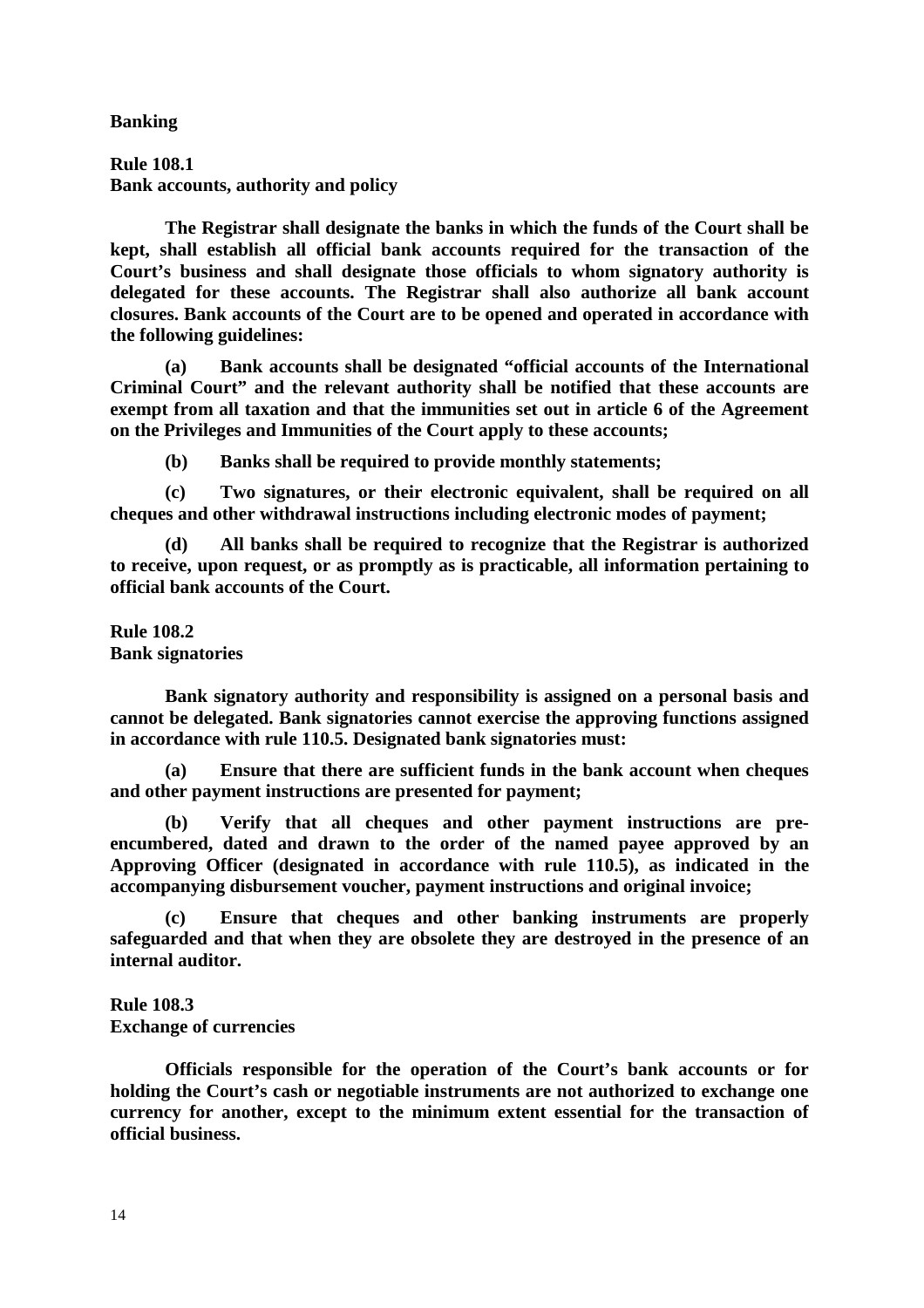**Banking** 

**Rule 108.1 Bank accounts, authority and policy** 

 **The Registrar shall designate the banks in which the funds of the Court shall be kept, shall establish all official bank accounts required for the transaction of the Court's business and shall designate those officials to whom signatory authority is delegated for these accounts. The Registrar shall also authorize all bank account closures. Bank accounts of the Court are to be opened and operated in accordance with the following guidelines:** 

 **(a) Bank accounts shall be designated "official accounts of the International Criminal Court" and the relevant authority shall be notified that these accounts are exempt from all taxation and that the immunities set out in article 6 of the Agreement on the Privileges and Immunities of the Court apply to these accounts;** 

 **(b) Banks shall be required to provide monthly statements;** 

 **(c) Two signatures, or their electronic equivalent, shall be required on all cheques and other withdrawal instructions including electronic modes of payment;** 

 **(d) All banks shall be required to recognize that the Registrar is authorized to receive, upon request, or as promptly as is practicable, all information pertaining to official bank accounts of the Court.** 

**Rule 108.2 Bank signatories** 

 **Bank signatory authority and responsibility is assigned on a personal basis and cannot be delegated. Bank signatories cannot exercise the approving functions assigned in accordance with rule 110.5. Designated bank signatories must:** 

 **(a) Ensure that there are sufficient funds in the bank account when cheques and other payment instructions are presented for payment;** 

 **(b) Verify that all cheques and other payment instructions are preencumbered, dated and drawn to the order of the named payee approved by an Approving Officer (designated in accordance with rule 110.5), as indicated in the accompanying disbursement voucher, payment instructions and original invoice;** 

 **(c) Ensure that cheques and other banking instruments are properly safeguarded and that when they are obsolete they are destroyed in the presence of an internal auditor.** 

**Rule 108.3 Exchange of currencies** 

 **Officials responsible for the operation of the Court's bank accounts or for holding the Court's cash or negotiable instruments are not authorized to exchange one currency for another, except to the minimum extent essential for the transaction of official business.**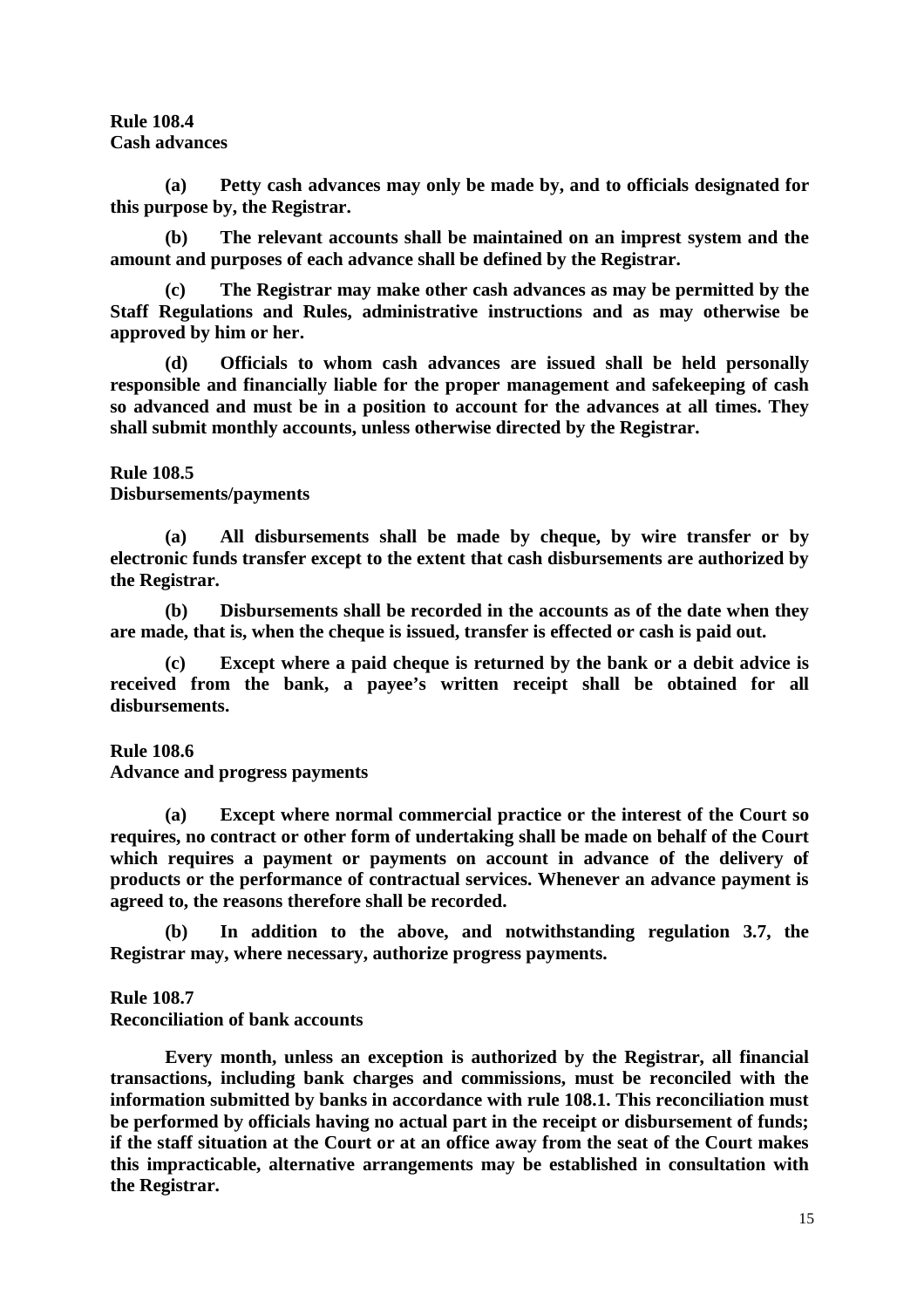**Rule 108.4 Cash advances** 

 **(a) Petty cash advances may only be made by, and to officials designated for this purpose by, the Registrar.** 

 **(b) The relevant accounts shall be maintained on an imprest system and the amount and purposes of each advance shall be defined by the Registrar.** 

 **(c) The Registrar may make other cash advances as may be permitted by the Staff Regulations and Rules, administrative instructions and as may otherwise be approved by him or her.** 

 **(d) Officials to whom cash advances are issued shall be held personally responsible and financially liable for the proper management and safekeeping of cash so advanced and must be in a position to account for the advances at all times. They shall submit monthly accounts, unless otherwise directed by the Registrar.** 

### **Rule 108.5**

**Disbursements/payments** 

 **(a) All disbursements shall be made by cheque, by wire transfer or by electronic funds transfer except to the extent that cash disbursements are authorized by the Registrar.** 

 **(b) Disbursements shall be recorded in the accounts as of the date when they are made, that is, when the cheque is issued, transfer is effected or cash is paid out.** 

 **(c) Except where a paid cheque is returned by the bank or a debit advice is received from the bank, a payee's written receipt shall be obtained for all disbursements.** 

**Rule 108.6** 

**Advance and progress payments** 

 **(a) Except where normal commercial practice or the interest of the Court so requires, no contract or other form of undertaking shall be made on behalf of the Court which requires a payment or payments on account in advance of the delivery of products or the performance of contractual services. Whenever an advance payment is agreed to, the reasons therefore shall be recorded.**

 **(b) In addition to the above, and notwithstanding regulation 3.7, the Registrar may, where necessary, authorize progress payments.** 

### **Rule 108.7**

**Reconciliation of bank accounts** 

 **Every month, unless an exception is authorized by the Registrar, all financial transactions, including bank charges and commissions, must be reconciled with the information submitted by banks in accordance with rule 108.1. This reconciliation must be performed by officials having no actual part in the receipt or disbursement of funds; if the staff situation at the Court or at an office away from the seat of the Court makes this impracticable, alternative arrangements may be established in consultation with the Registrar.**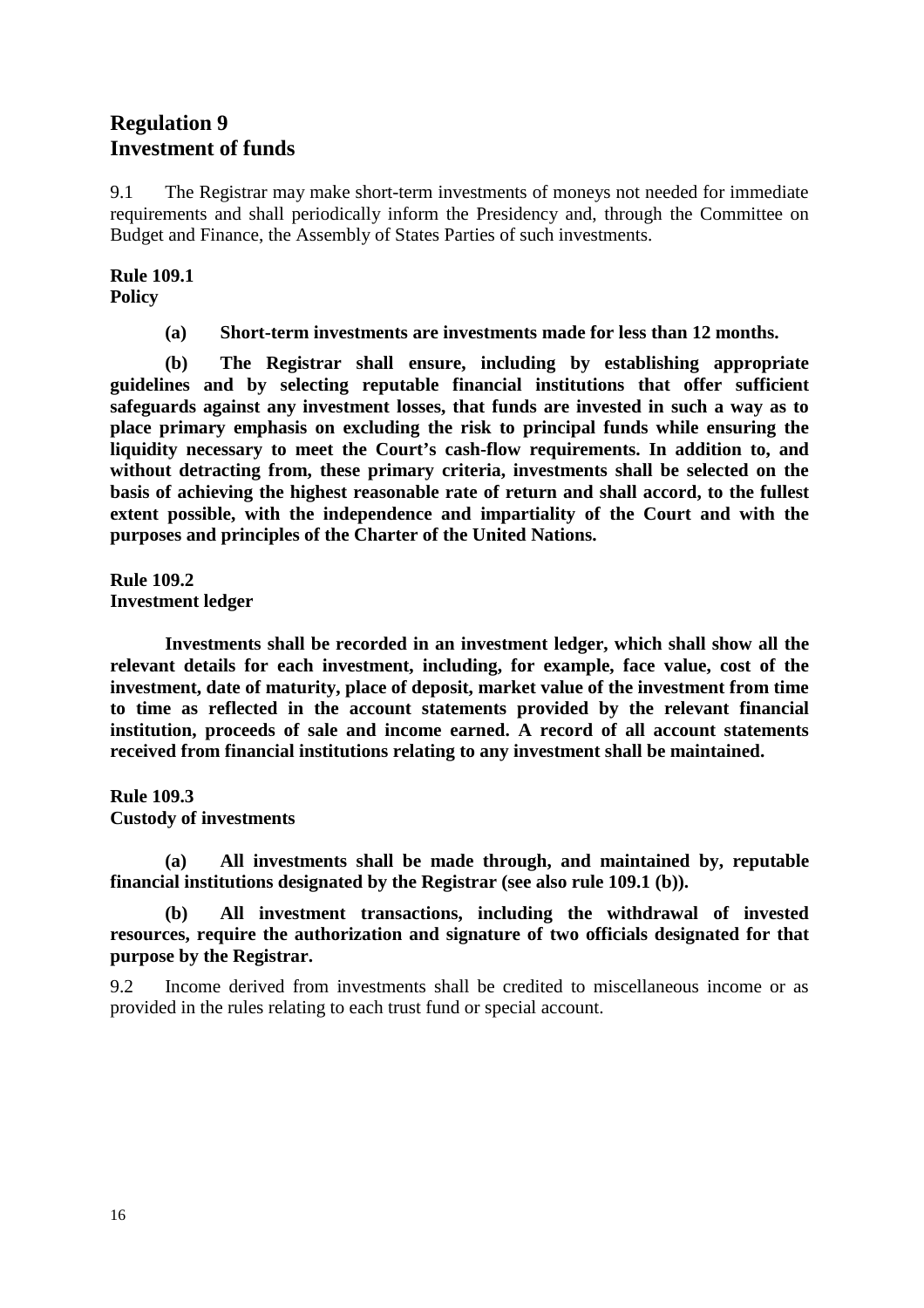# **Regulation 9 Investment of funds**

9.1 The Registrar may make short-term investments of moneys not needed for immediate requirements and shall periodically inform the Presidency and, through the Committee on Budget and Finance, the Assembly of States Parties of such investments.

**Rule 109.1 Policy** 

 **(a) Short-term investments are investments made for less than 12 months.** 

 **(b) The Registrar shall ensure, including by establishing appropriate guidelines and by selecting reputable financial institutions that offer sufficient safeguards against any investment losses, that funds are invested in such a way as to place primary emphasis on excluding the risk to principal funds while ensuring the liquidity necessary to meet the Court's cash-flow requirements. In addition to, and without detracting from, these primary criteria, investments shall be selected on the basis of achieving the highest reasonable rate of return and shall accord, to the fullest extent possible, with the independence and impartiality of the Court and with the purposes and principles of the Charter of the United Nations.** 

**Rule 109.2 Investment ledger** 

 **Investments shall be recorded in an investment ledger, which shall show all the relevant details for each investment, including, for example, face value, cost of the investment, date of maturity, place of deposit, market value of the investment from time to time as reflected in the account statements provided by the relevant financial institution, proceeds of sale and income earned. A record of all account statements received from financial institutions relating to any investment shall be maintained.** 

**Rule 109.3** 

**Custody of investments** 

 **(a) All investments shall be made through, and maintained by, reputable financial institutions designated by the Registrar (see also rule 109.1 (b)).** 

 **(b) All investment transactions, including the withdrawal of invested resources, require the authorization and signature of two officials designated for that purpose by the Registrar.** 

9.2 Income derived from investments shall be credited to miscellaneous income or as provided in the rules relating to each trust fund or special account.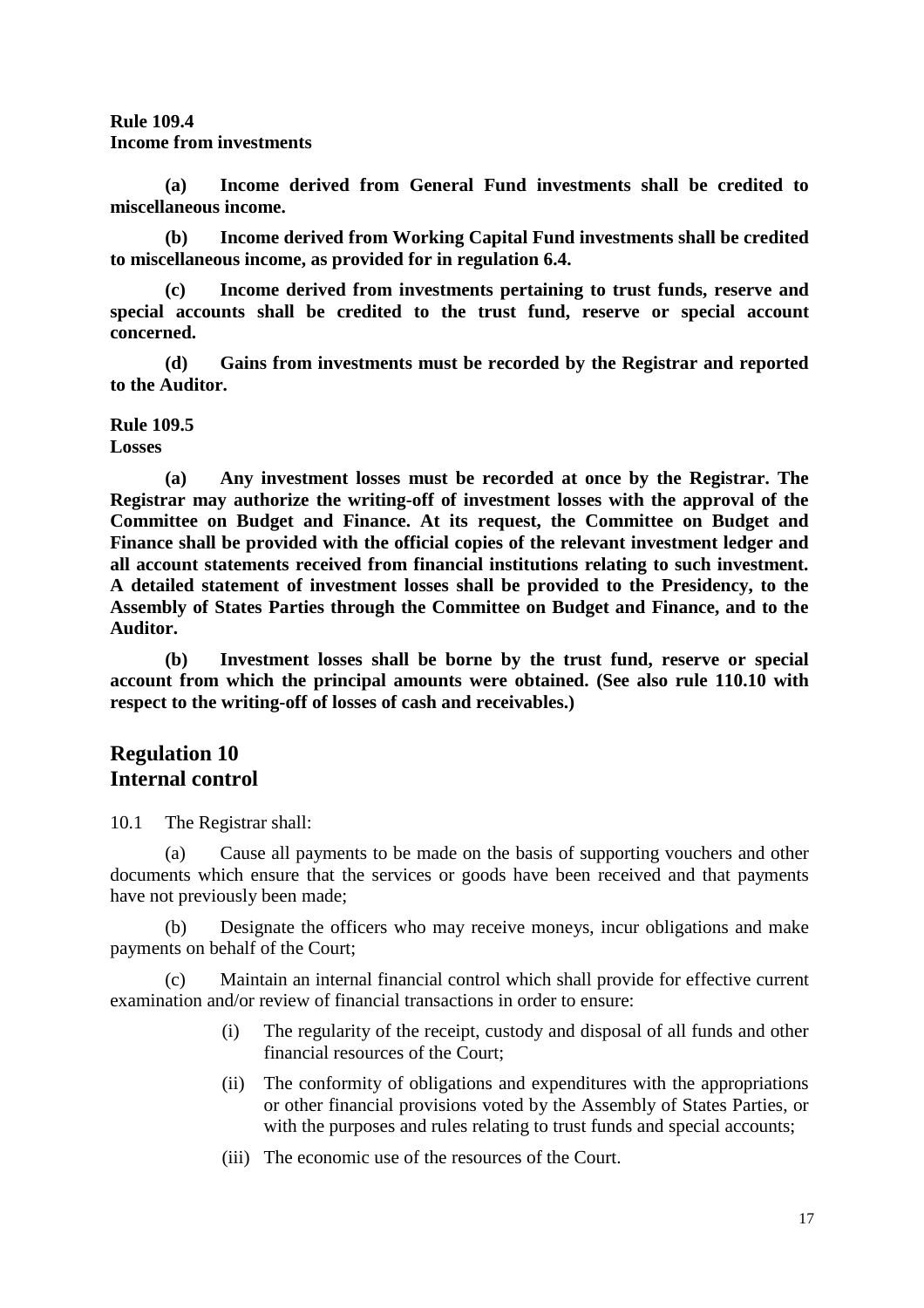## **Rule 109.4**

**Income from investments** 

 **(a) Income derived from General Fund investments shall be credited to miscellaneous income.** 

 **(b) Income derived from Working Capital Fund investments shall be credited to miscellaneous income, as provided for in regulation 6.4.** 

 **(c) Income derived from investments pertaining to trust funds, reserve and special accounts shall be credited to the trust fund, reserve or special account concerned.** 

 **(d) Gains from investments must be recorded by the Registrar and reported to the Auditor.** 

### **Rule 109.5**

**Losses** 

 **(a) Any investment losses must be recorded at once by the Registrar. The Registrar may authorize the writing-off of investment losses with the approval of the Committee on Budget and Finance. At its request, the Committee on Budget and Finance shall be provided with the official copies of the relevant investment ledger and all account statements received from financial institutions relating to such investment. A detailed statement of investment losses shall be provided to the Presidency, to the Assembly of States Parties through the Committee on Budget and Finance, and to the Auditor.** 

 **(b) Investment losses shall be borne by the trust fund, reserve or special account from which the principal amounts were obtained. (See also rule 110.10 with respect to the writing-off of losses of cash and receivables.)** 

# **Regulation 10 Internal control**

10.1 The Registrar shall:

 (a) Cause all payments to be made on the basis of supporting vouchers and other documents which ensure that the services or goods have been received and that payments have not previously been made;

 (b) Designate the officers who may receive moneys, incur obligations and make payments on behalf of the Court;

 (c) Maintain an internal financial control which shall provide for effective current examination and/or review of financial transactions in order to ensure:

- (i) The regularity of the receipt, custody and disposal of all funds and other financial resources of the Court;
- (ii) The conformity of obligations and expenditures with the appropriations or other financial provisions voted by the Assembly of States Parties, or with the purposes and rules relating to trust funds and special accounts;
- (iii) The economic use of the resources of the Court.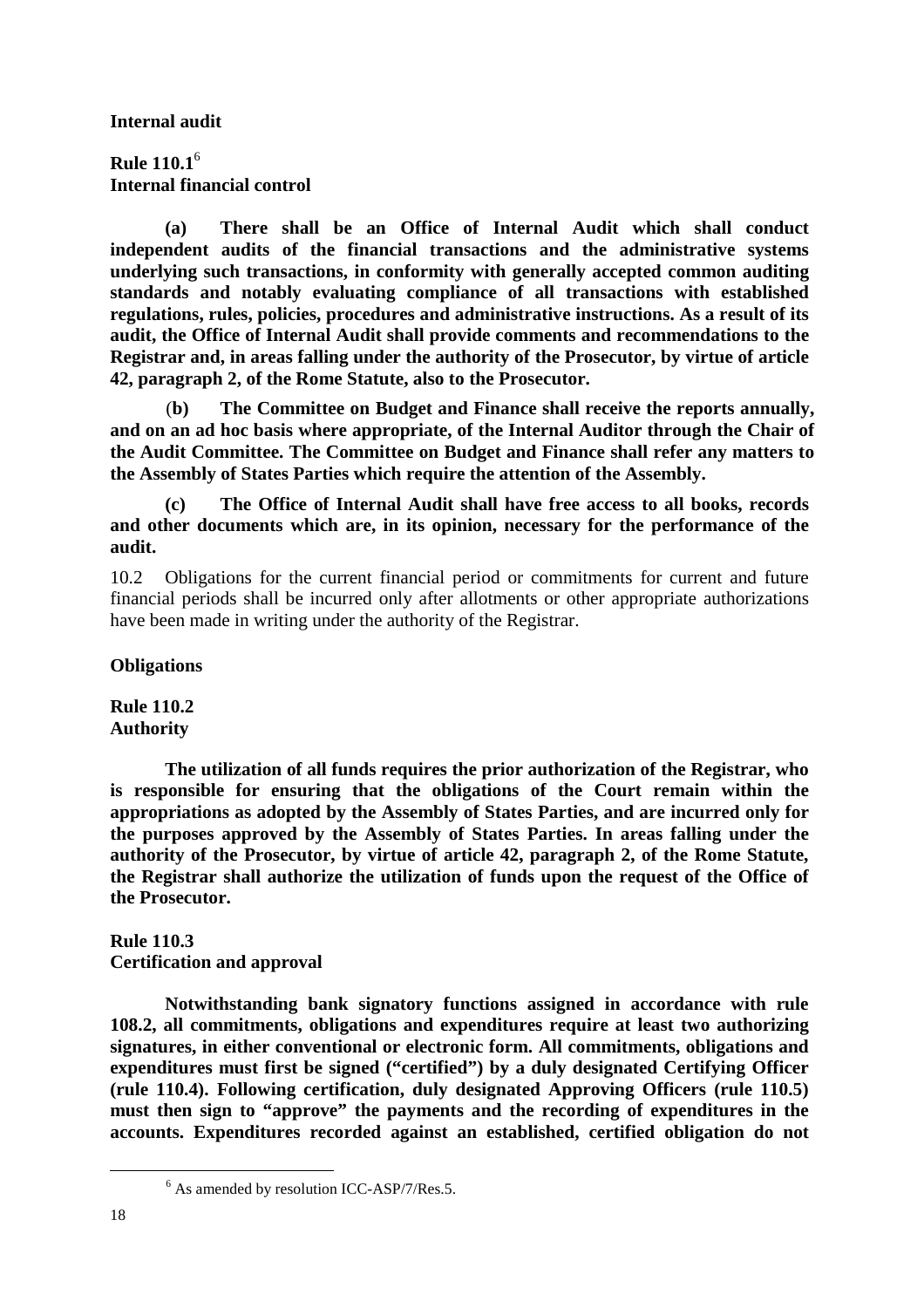**Internal audit** 

**Rule 110.1**<sup>6</sup>  **Internal financial control** 

 **(a) There shall be an Office of Internal Audit which shall conduct independent audits of the financial transactions and the administrative systems underlying such transactions, in conformity with generally accepted common auditing standards and notably evaluating compliance of all transactions with established regulations, rules, policies, procedures and administrative instructions. As a result of its audit, the Office of Internal Audit shall provide comments and recommendations to the Registrar and, in areas falling under the authority of the Prosecutor, by virtue of article 42, paragraph 2, of the Rome Statute, also to the Prosecutor.** 

(**b) The Committee on Budget and Finance shall receive the reports annually, and on an ad hoc basis where appropriate, of the Internal Auditor through the Chair of the Audit Committee. The Committee on Budget and Finance shall refer any matters to the Assembly of States Parties which require the attention of the Assembly.** 

 **(c) The Office of Internal Audit shall have free access to all books, records and other documents which are, in its opinion, necessary for the performance of the audit.** 

10.2 Obligations for the current financial period or commitments for current and future financial periods shall be incurred only after allotments or other appropriate authorizations have been made in writing under the authority of the Registrar.

**Obligations** 

**Rule 110.2 Authority** 

 **The utilization of all funds requires the prior authorization of the Registrar, who is responsible for ensuring that the obligations of the Court remain within the appropriations as adopted by the Assembly of States Parties, and are incurred only for the purposes approved by the Assembly of States Parties. In areas falling under the authority of the Prosecutor, by virtue of article 42, paragraph 2, of the Rome Statute, the Registrar shall authorize the utilization of funds upon the request of the Office of the Prosecutor.** 

**Rule 110.3 Certification and approval** 

 **Notwithstanding bank signatory functions assigned in accordance with rule 108.2, all commitments, obligations and expenditures require at least two authorizing signatures, in either conventional or electronic form. All commitments, obligations and expenditures must first be signed ("certified") by a duly designated Certifying Officer (rule 110.4). Following certification, duly designated Approving Officers (rule 110.5) must then sign to "approve" the payments and the recording of expenditures in the accounts. Expenditures recorded against an established, certified obligation do not** 

 $\overline{a}$ 

<sup>&</sup>lt;sup>6</sup> As amended by resolution ICC-ASP/7/Res.5.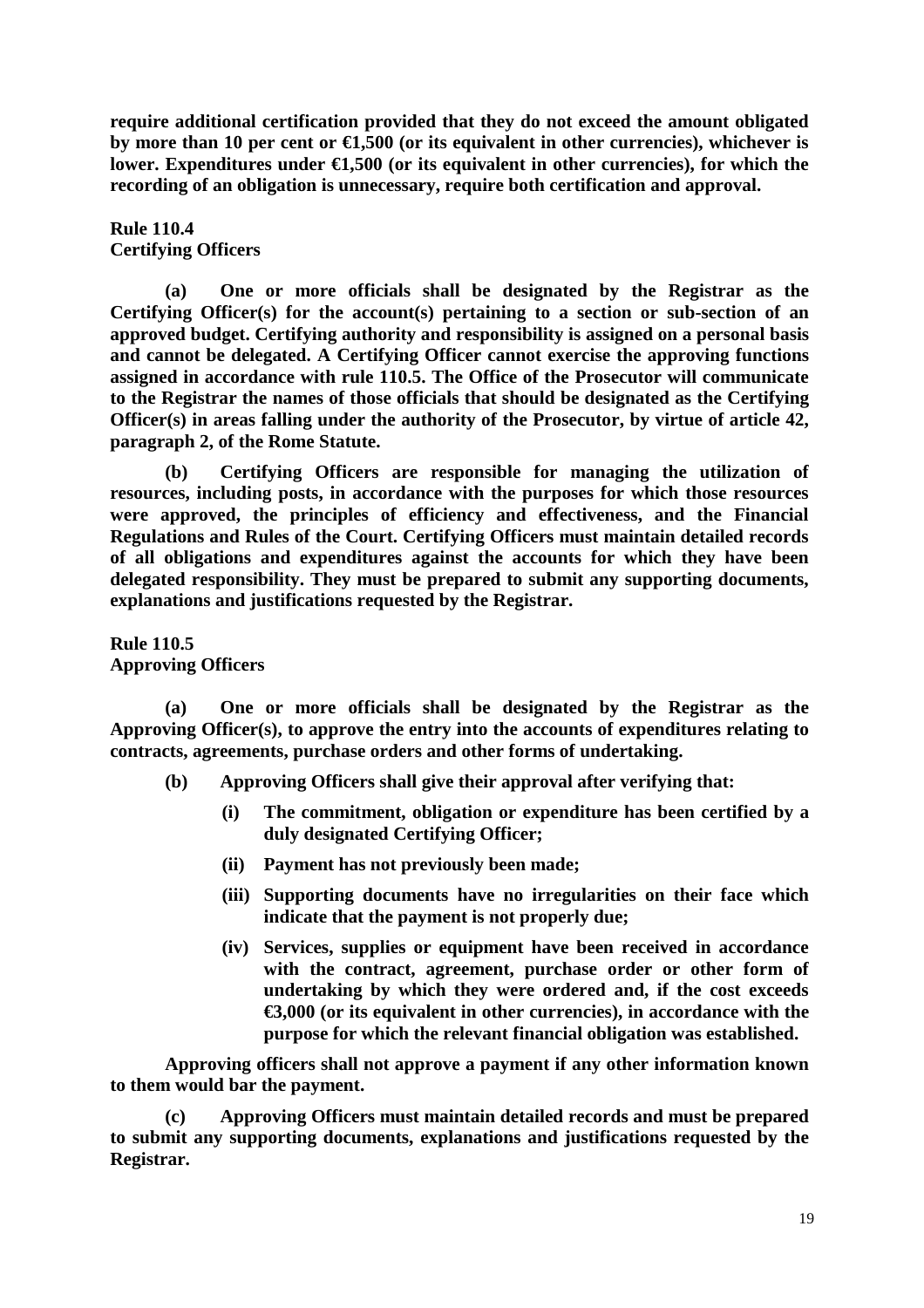**require additional certification provided that they do not exceed the amount obligated**  by more than 10 per cent or  $\epsilon$ 1,500 (or its equivalent in other currencies), whichever is lower. Expenditures under  $\epsilon$ 1,500 (or its equivalent in other currencies), for which the **recording of an obligation is unnecessary, require both certification and approval.** 

**Rule 110.4 Certifying Officers** 

 **(a) One or more officials shall be designated by the Registrar as the Certifying Officer(s) for the account(s) pertaining to a section or sub-section of an approved budget. Certifying authority and responsibility is assigned on a personal basis and cannot be delegated. A Certifying Officer cannot exercise the approving functions assigned in accordance with rule 110.5. The Office of the Prosecutor will communicate to the Registrar the names of those officials that should be designated as the Certifying Officer(s) in areas falling under the authority of the Prosecutor, by virtue of article 42, paragraph 2, of the Rome Statute.** 

 **(b) Certifying Officers are responsible for managing the utilization of resources, including posts, in accordance with the purposes for which those resources were approved, the principles of efficiency and effectiveness, and the Financial Regulations and Rules of the Court. Certifying Officers must maintain detailed records of all obligations and expenditures against the accounts for which they have been delegated responsibility. They must be prepared to submit any supporting documents, explanations and justifications requested by the Registrar.** 

**Rule 110.5 Approving Officers** 

 **(a) One or more officials shall be designated by the Registrar as the Approving Officer(s), to approve the entry into the accounts of expenditures relating to contracts, agreements, purchase orders and other forms of undertaking.** 

- **(b) Approving Officers shall give their approval after verifying that:** 
	- **(i) The commitment, obligation or expenditure has been certified by a duly designated Certifying Officer;**
	- **(ii) Payment has not previously been made;**
	- **(iii) Supporting documents have no irregularities on their face which indicate that the payment is not properly due;**
	- **(iv) Services, supplies or equipment have been received in accordance with the contract, agreement, purchase order or other form of undertaking by which they were ordered and, if the cost exceeds €3,000 (or its equivalent in other currencies), in accordance with the purpose for which the relevant financial obligation was established.**

 **Approving officers shall not approve a payment if any other information known to them would bar the payment.** 

 **(c) Approving Officers must maintain detailed records and must be prepared to submit any supporting documents, explanations and justifications requested by the Registrar.**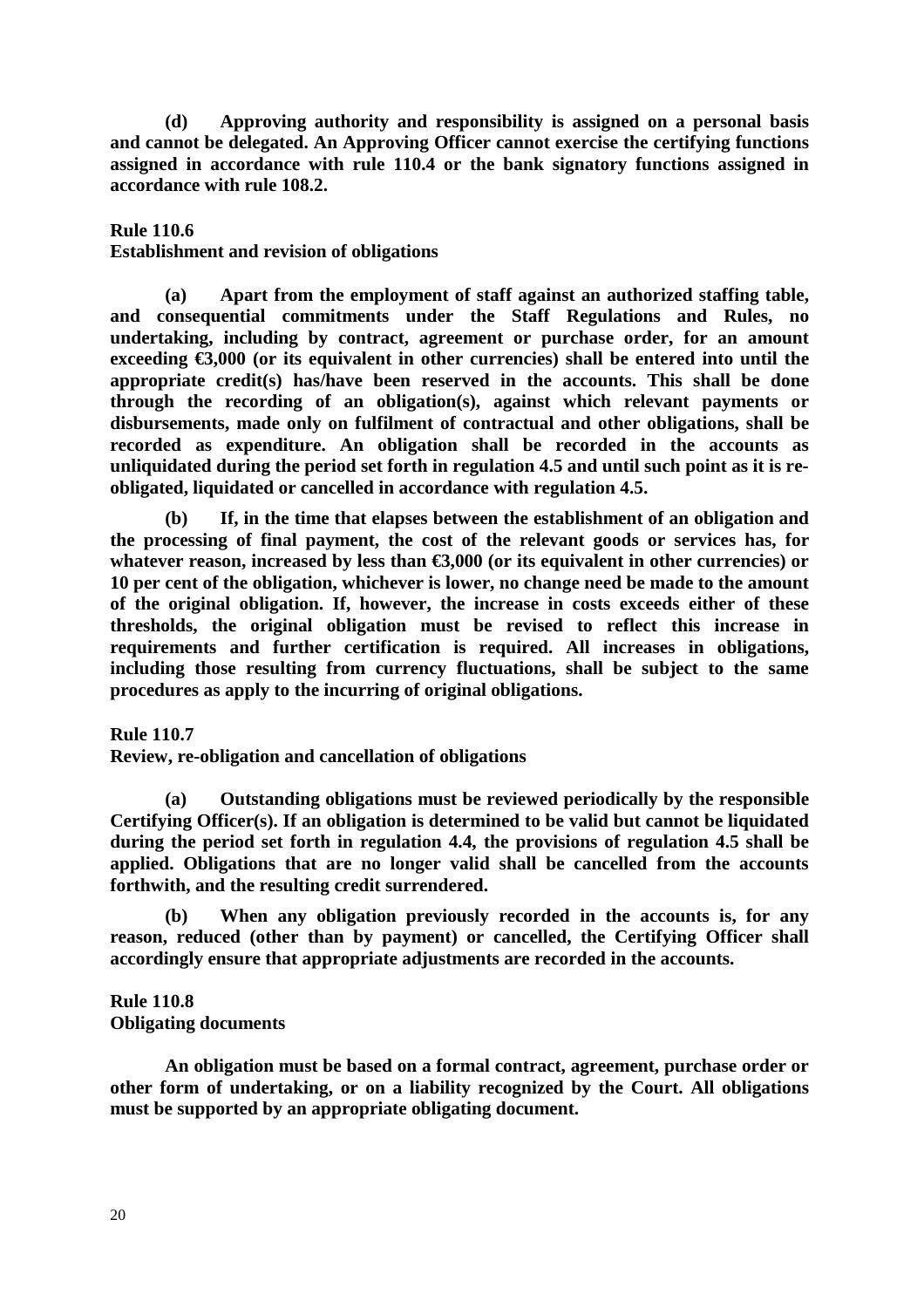**(d) Approving authority and responsibility is assigned on a personal basis and cannot be delegated. An Approving Officer cannot exercise the certifying functions assigned in accordance with rule 110.4 or the bank signatory functions assigned in accordance with rule 108.2.** 

### **Rule 110.6**

#### **Establishment and revision of obligations**

 **(a) Apart from the employment of staff against an authorized staffing table, and consequential commitments under the Staff Regulations and Rules, no undertaking, including by contract, agreement or purchase order, for an amount**  exceeding  $\epsilon$ 3,000 (or its equivalent in other currencies) shall be entered into until the **appropriate credit(s) has/have been reserved in the accounts. This shall be done through the recording of an obligation(s), against which relevant payments or disbursements, made only on fulfilment of contractual and other obligations, shall be recorded as expenditure. An obligation shall be recorded in the accounts as unliquidated during the period set forth in regulation 4.5 and until such point as it is reobligated, liquidated or cancelled in accordance with regulation 4.5.** 

 **(b) If, in the time that elapses between the establishment of an obligation and the processing of final payment, the cost of the relevant goods or services has, for**  whatever reason, increased by less than  $\epsilon$ 3,000 (or its equivalent in other currencies) or **10 per cent of the obligation, whichever is lower, no change need be made to the amount of the original obligation. If, however, the increase in costs exceeds either of these thresholds, the original obligation must be revised to reflect this increase in requirements and further certification is required. All increases in obligations, including those resulting from currency fluctuations, shall be subject to the same procedures as apply to the incurring of original obligations.** 

#### **Rule 110.7**

**Review, re-obligation and cancellation of obligations** 

 **(a) Outstanding obligations must be reviewed periodically by the responsible Certifying Officer(s). If an obligation is determined to be valid but cannot be liquidated during the period set forth in regulation 4.4, the provisions of regulation 4.5 shall be applied. Obligations that are no longer valid shall be cancelled from the accounts forthwith, and the resulting credit surrendered.** 

 **(b) When any obligation previously recorded in the accounts is, for any reason, reduced (other than by payment) or cancelled, the Certifying Officer shall accordingly ensure that appropriate adjustments are recorded in the accounts.** 

#### **Rule 110.8 Obligating documents**

 **An obligation must be based on a formal contract, agreement, purchase order or other form of undertaking, or on a liability recognized by the Court. All obligations must be supported by an appropriate obligating document.**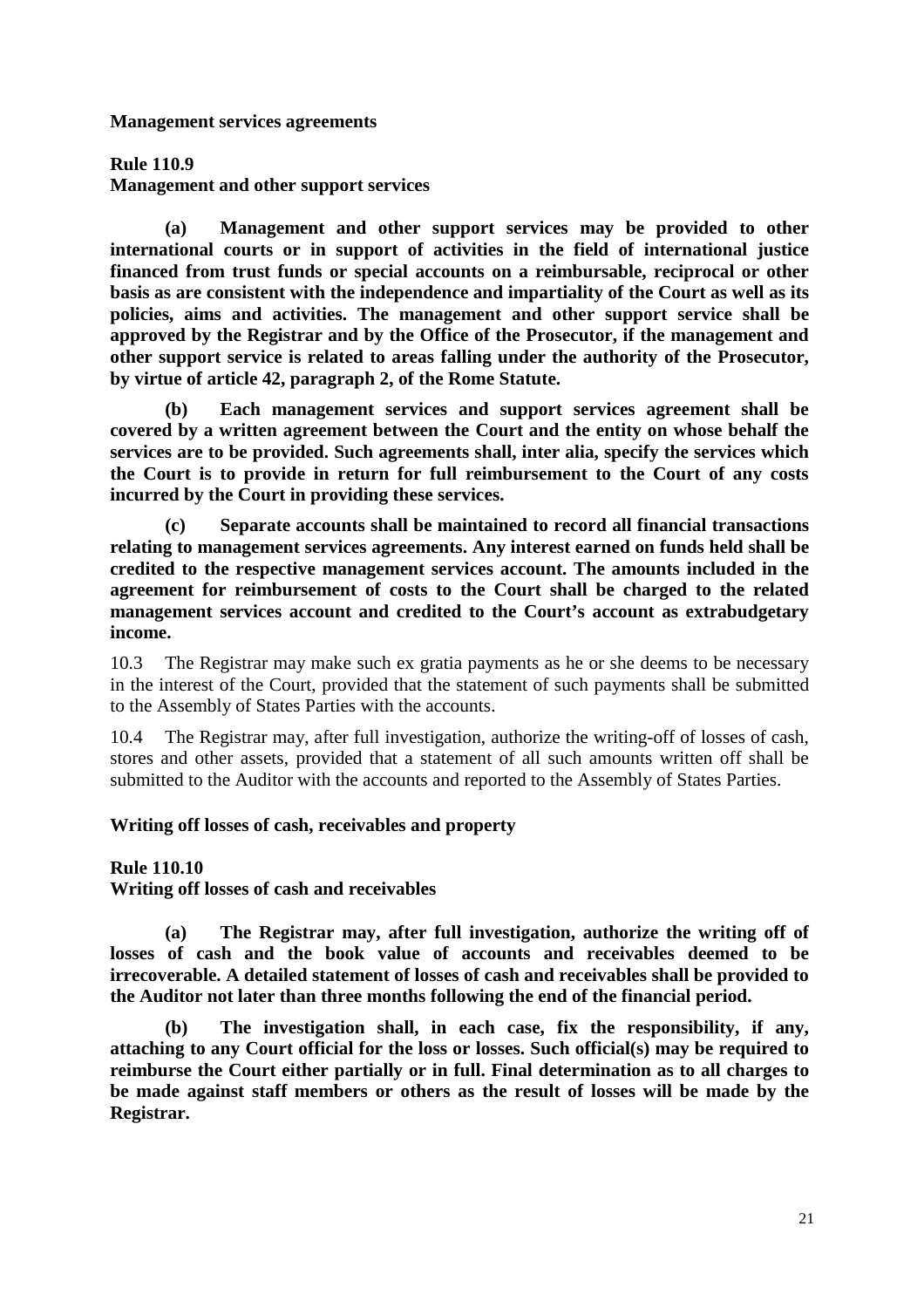**Management services agreements** 

**Rule 110.9** 

**Management and other support services** 

 **(a) Management and other support services may be provided to other international courts or in support of activities in the field of international justice financed from trust funds or special accounts on a reimbursable, reciprocal or other basis as are consistent with the independence and impartiality of the Court as well as its policies, aims and activities. The management and other support service shall be approved by the Registrar and by the Office of the Prosecutor, if the management and other support service is related to areas falling under the authority of the Prosecutor, by virtue of article 42, paragraph 2, of the Rome Statute.** 

Each management services and support services agreement shall be **covered by a written agreement between the Court and the entity on whose behalf the services are to be provided. Such agreements shall, inter alia, specify the services which the Court is to provide in return for full reimbursement to the Court of any costs incurred by the Court in providing these services.** 

 **(c) Separate accounts shall be maintained to record all financial transactions relating to management services agreements. Any interest earned on funds held shall be credited to the respective management services account. The amounts included in the agreement for reimbursement of costs to the Court shall be charged to the related management services account and credited to the Court's account as extrabudgetary income.** 

10.3 The Registrar may make such ex gratia payments as he or she deems to be necessary in the interest of the Court, provided that the statement of such payments shall be submitted to the Assembly of States Parties with the accounts.

10.4 The Registrar may, after full investigation, authorize the writing-off of losses of cash, stores and other assets, provided that a statement of all such amounts written off shall be submitted to the Auditor with the accounts and reported to the Assembly of States Parties.

### **Writing off losses of cash, receivables and property**

### **Rule 110.10**

**Writing off losses of cash and receivables** 

 **(a) The Registrar may, after full investigation, authorize the writing off of losses of cash and the book value of accounts and receivables deemed to be irrecoverable. A detailed statement of losses of cash and receivables shall be provided to the Auditor not later than three months following the end of the financial period.** 

 **(b) The investigation shall, in each case, fix the responsibility, if any, attaching to any Court official for the loss or losses. Such official(s) may be required to reimburse the Court either partially or in full. Final determination as to all charges to be made against staff members or others as the result of losses will be made by the Registrar.**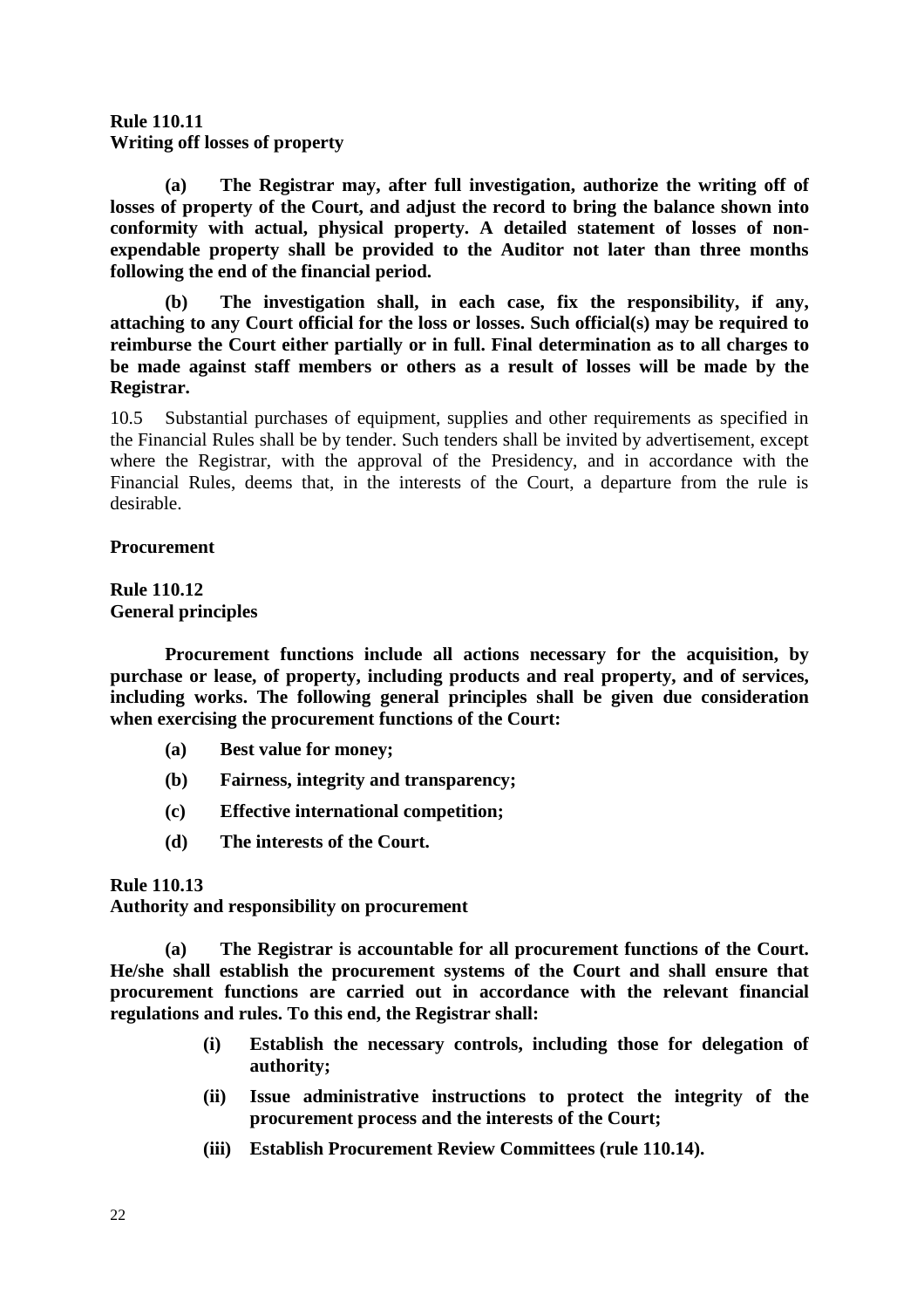# **Rule 110.11 Writing off losses of property**

 **(a) The Registrar may, after full investigation, authorize the writing off of losses of property of the Court, and adjust the record to bring the balance shown into conformity with actual, physical property. A detailed statement of losses of nonexpendable property shall be provided to the Auditor not later than three months following the end of the financial period.** 

 **(b) The investigation shall, in each case, fix the responsibility, if any, attaching to any Court official for the loss or losses. Such official(s) may be required to reimburse the Court either partially or in full. Final determination as to all charges to be made against staff members or others as a result of losses will be made by the Registrar.** 

10.5 Substantial purchases of equipment, supplies and other requirements as specified in the Financial Rules shall be by tender. Such tenders shall be invited by advertisement, except where the Registrar, with the approval of the Presidency, and in accordance with the Financial Rules, deems that, in the interests of the Court, a departure from the rule is desirable.

### **Procurement**

### **Rule 110.12 General principles**

 **Procurement functions include all actions necessary for the acquisition, by purchase or lease, of property, including products and real property, and of services, including works. The following general principles shall be given due consideration when exercising the procurement functions of the Court:** 

- **(a) Best value for money;**
- **(b) Fairness, integrity and transparency;**
- **(c) Effective international competition;**
- **(d) The interests of the Court.**

### **Rule 110.13**

**Authority and responsibility on procurement** 

 **(a) The Registrar is accountable for all procurement functions of the Court. He/she shall establish the procurement systems of the Court and shall ensure that procurement functions are carried out in accordance with the relevant financial regulations and rules. To this end, the Registrar shall:** 

- **(i) Establish the necessary controls, including those for delegation of authority;**
- **(ii) Issue administrative instructions to protect the integrity of the procurement process and the interests of the Court;**
- **(iii) Establish Procurement Review Committees (rule 110.14).**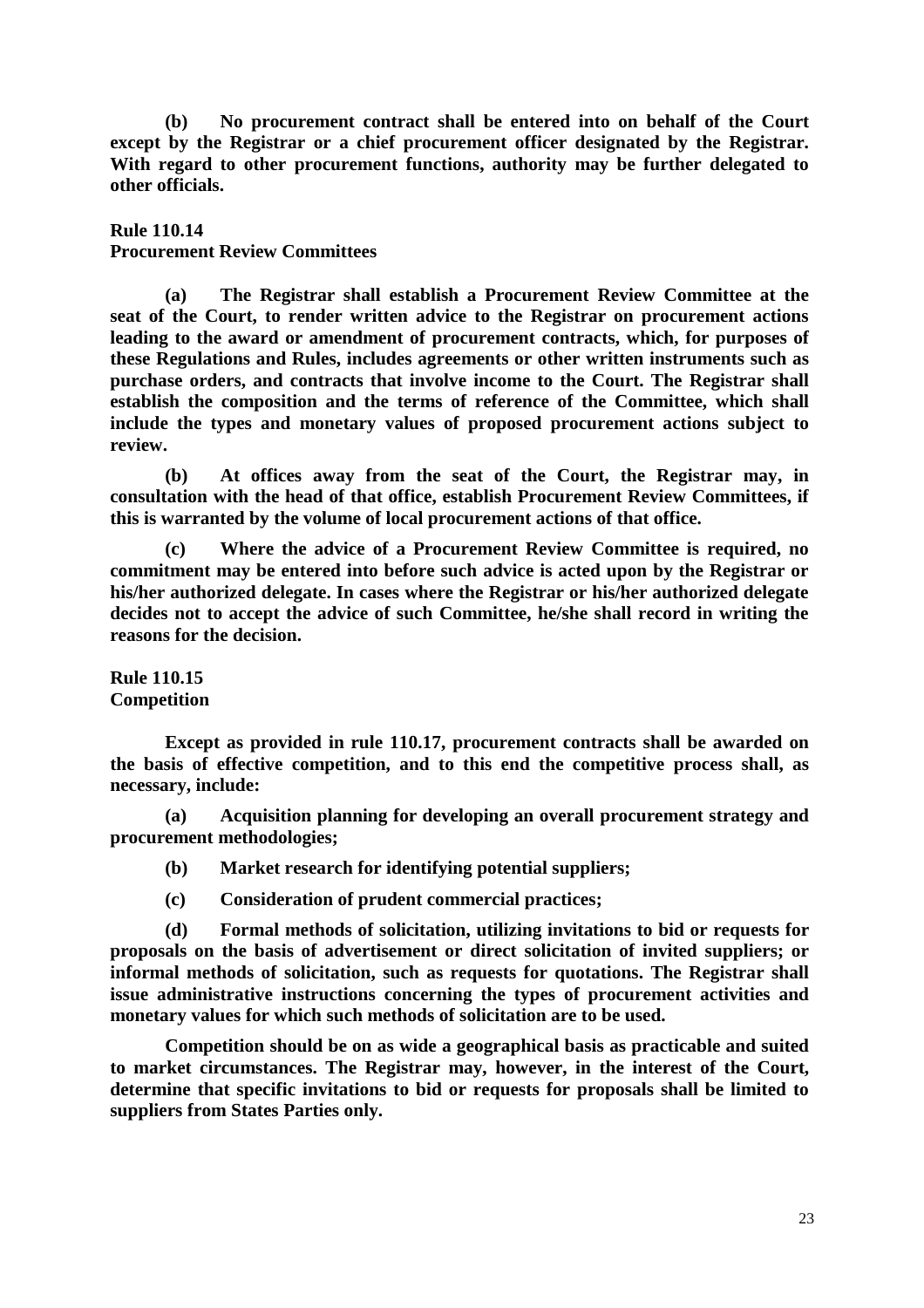**(b) No procurement contract shall be entered into on behalf of the Court except by the Registrar or a chief procurement officer designated by the Registrar. With regard to other procurement functions, authority may be further delegated to other officials.** 

#### **Rule 110.14**

### **Procurement Review Committees**

 **(a) The Registrar shall establish a Procurement Review Committee at the seat of the Court, to render written advice to the Registrar on procurement actions leading to the award or amendment of procurement contracts, which, for purposes of these Regulations and Rules, includes agreements or other written instruments such as purchase orders, and contracts that involve income to the Court. The Registrar shall establish the composition and the terms of reference of the Committee, which shall include the types and monetary values of proposed procurement actions subject to review.** 

 **(b) At offices away from the seat of the Court, the Registrar may, in consultation with the head of that office, establish Procurement Review Committees, if this is warranted by the volume of local procurement actions of that office.** 

 **(c) Where the advice of a Procurement Review Committee is required, no commitment may be entered into before such advice is acted upon by the Registrar or his/her authorized delegate. In cases where the Registrar or his/her authorized delegate decides not to accept the advice of such Committee, he/she shall record in writing the reasons for the decision.** 

### **Rule 110.15 Competition**

 **Except as provided in rule 110.17, procurement contracts shall be awarded on the basis of effective competition, and to this end the competitive process shall, as necessary, include:** 

 **(a) Acquisition planning for developing an overall procurement strategy and procurement methodologies;** 

- **(b) Market research for identifying potential suppliers;**
- **(c) Consideration of prudent commercial practices;**

 **(d) Formal methods of solicitation, utilizing invitations to bid or requests for proposals on the basis of advertisement or direct solicitation of invited suppliers; or informal methods of solicitation, such as requests for quotations. The Registrar shall issue administrative instructions concerning the types of procurement activities and monetary values for which such methods of solicitation are to be used.** 

 **Competition should be on as wide a geographical basis as practicable and suited to market circumstances. The Registrar may, however, in the interest of the Court, determine that specific invitations to bid or requests for proposals shall be limited to suppliers from States Parties only.**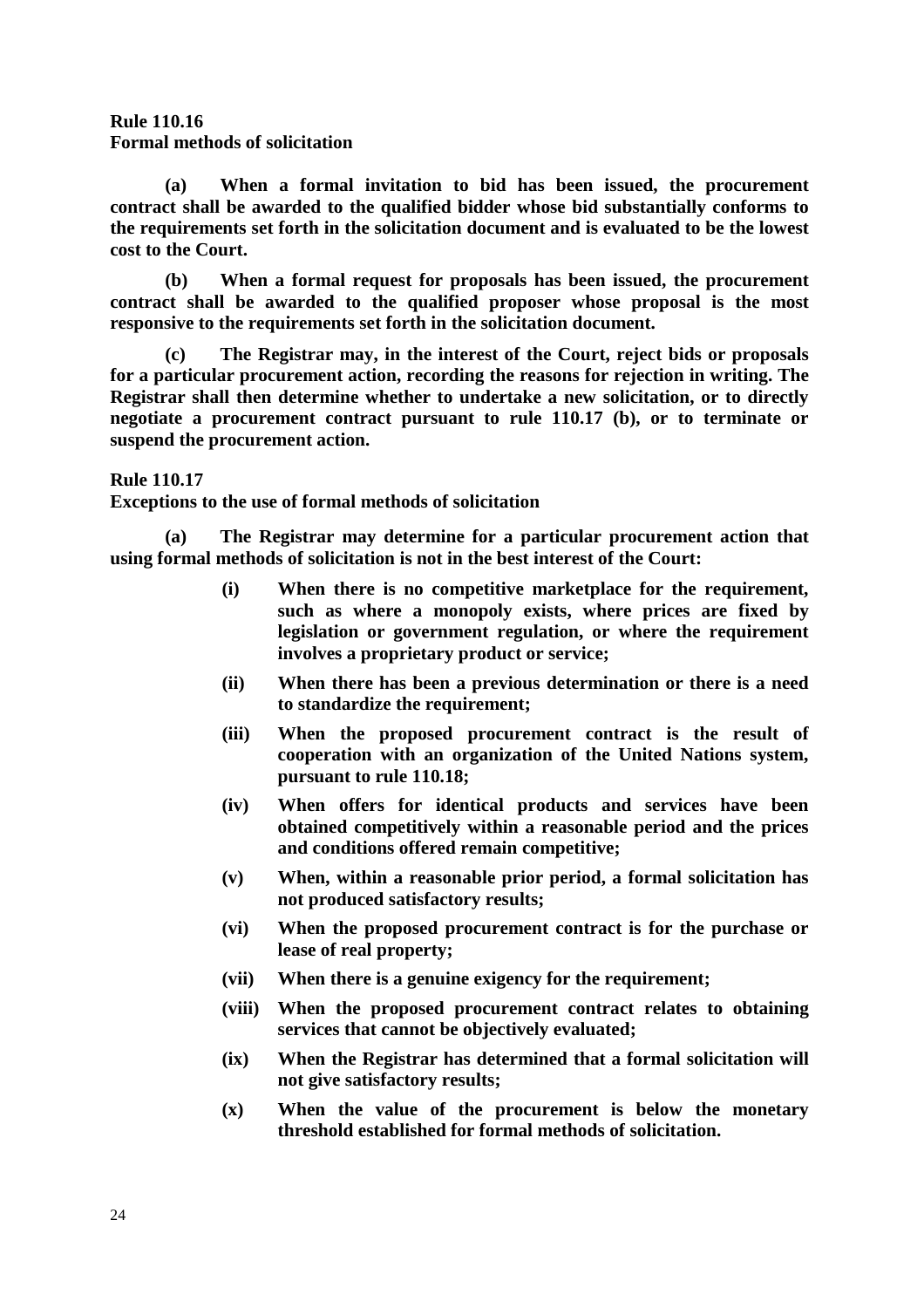**Rule 110.16 Formal methods of solicitation** 

 **(a) When a formal invitation to bid has been issued, the procurement contract shall be awarded to the qualified bidder whose bid substantially conforms to the requirements set forth in the solicitation document and is evaluated to be the lowest cost to the Court.** 

 **(b) When a formal request for proposals has been issued, the procurement contract shall be awarded to the qualified proposer whose proposal is the most responsive to the requirements set forth in the solicitation document.** 

 **(c) The Registrar may, in the interest of the Court, reject bids or proposals for a particular procurement action, recording the reasons for rejection in writing. The Registrar shall then determine whether to undertake a new solicitation, or to directly negotiate a procurement contract pursuant to rule 110.17 (b), or to terminate or suspend the procurement action.** 

**Rule 110.17** 

**Exceptions to the use of formal methods of solicitation** 

 **(a) The Registrar may determine for a particular procurement action that using formal methods of solicitation is not in the best interest of the Court:** 

- **(i) When there is no competitive marketplace for the requirement, such as where a monopoly exists, where prices are fixed by legislation or government regulation, or where the requirement involves a proprietary product or service;**
- **(ii) When there has been a previous determination or there is a need to standardize the requirement;**
- **(iii) When the proposed procurement contract is the result of cooperation with an organization of the United Nations system, pursuant to rule 110.18;**
- **(iv) When offers for identical products and services have been obtained competitively within a reasonable period and the prices and conditions offered remain competitive;**
- **(v) When, within a reasonable prior period, a formal solicitation has not produced satisfactory results;**
- **(vi) When the proposed procurement contract is for the purchase or lease of real property;**
- **(vii) When there is a genuine exigency for the requirement;**
- **(viii) When the proposed procurement contract relates to obtaining services that cannot be objectively evaluated;**
- **(ix) When the Registrar has determined that a formal solicitation will not give satisfactory results;**
- **(x) When the value of the procurement is below the monetary threshold established for formal methods of solicitation.**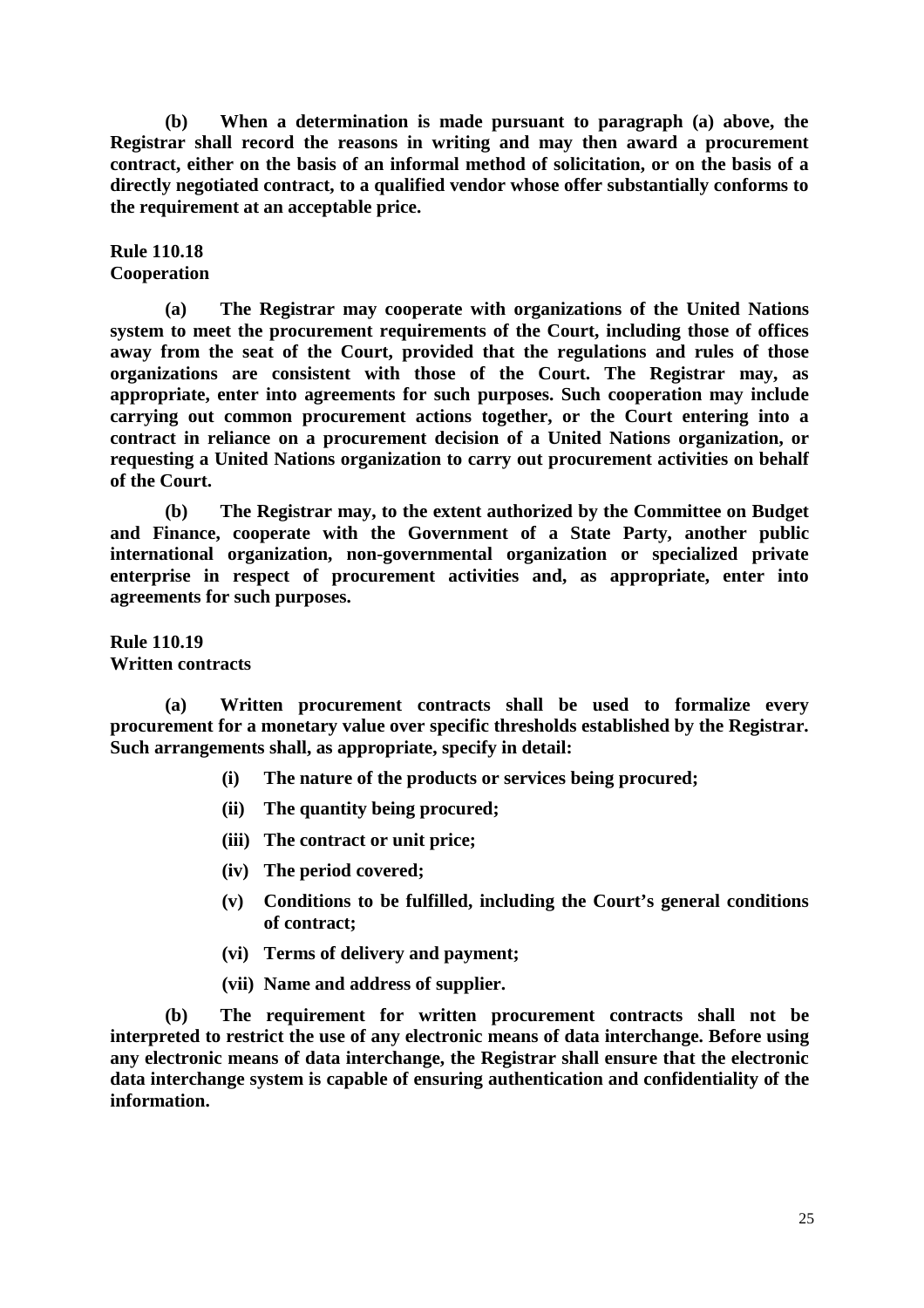**(b) When a determination is made pursuant to paragraph (a) above, the Registrar shall record the reasons in writing and may then award a procurement contract, either on the basis of an informal method of solicitation, or on the basis of a directly negotiated contract, to a qualified vendor whose offer substantially conforms to the requirement at an acceptable price.** 

**Rule 110.18 Cooperation** 

 **(a) The Registrar may cooperate with organizations of the United Nations system to meet the procurement requirements of the Court, including those of offices away from the seat of the Court, provided that the regulations and rules of those organizations are consistent with those of the Court. The Registrar may, as appropriate, enter into agreements for such purposes. Such cooperation may include carrying out common procurement actions together, or the Court entering into a contract in reliance on a procurement decision of a United Nations organization, or requesting a United Nations organization to carry out procurement activities on behalf of the Court.** 

 **(b) The Registrar may, to the extent authorized by the Committee on Budget and Finance, cooperate with the Government of a State Party, another public international organization, non-governmental organization or specialized private enterprise in respect of procurement activities and, as appropriate, enter into agreements for such purposes.** 

**Rule 110.19 Written contracts** 

 **(a) Written procurement contracts shall be used to formalize every procurement for a monetary value over specific thresholds established by the Registrar. Such arrangements shall, as appropriate, specify in detail:** 

- **(i) The nature of the products or services being procured;**
- **(ii) The quantity being procured;**
- **(iii) The contract or unit price;**
- **(iv) The period covered;**
- **(v) Conditions to be fulfilled, including the Court's general conditions of contract;**
- **(vi) Terms of delivery and payment;**
- **(vii) Name and address of supplier.**

 **(b) The requirement for written procurement contracts shall not be interpreted to restrict the use of any electronic means of data interchange. Before using any electronic means of data interchange, the Registrar shall ensure that the electronic data interchange system is capable of ensuring authentication and confidentiality of the information.**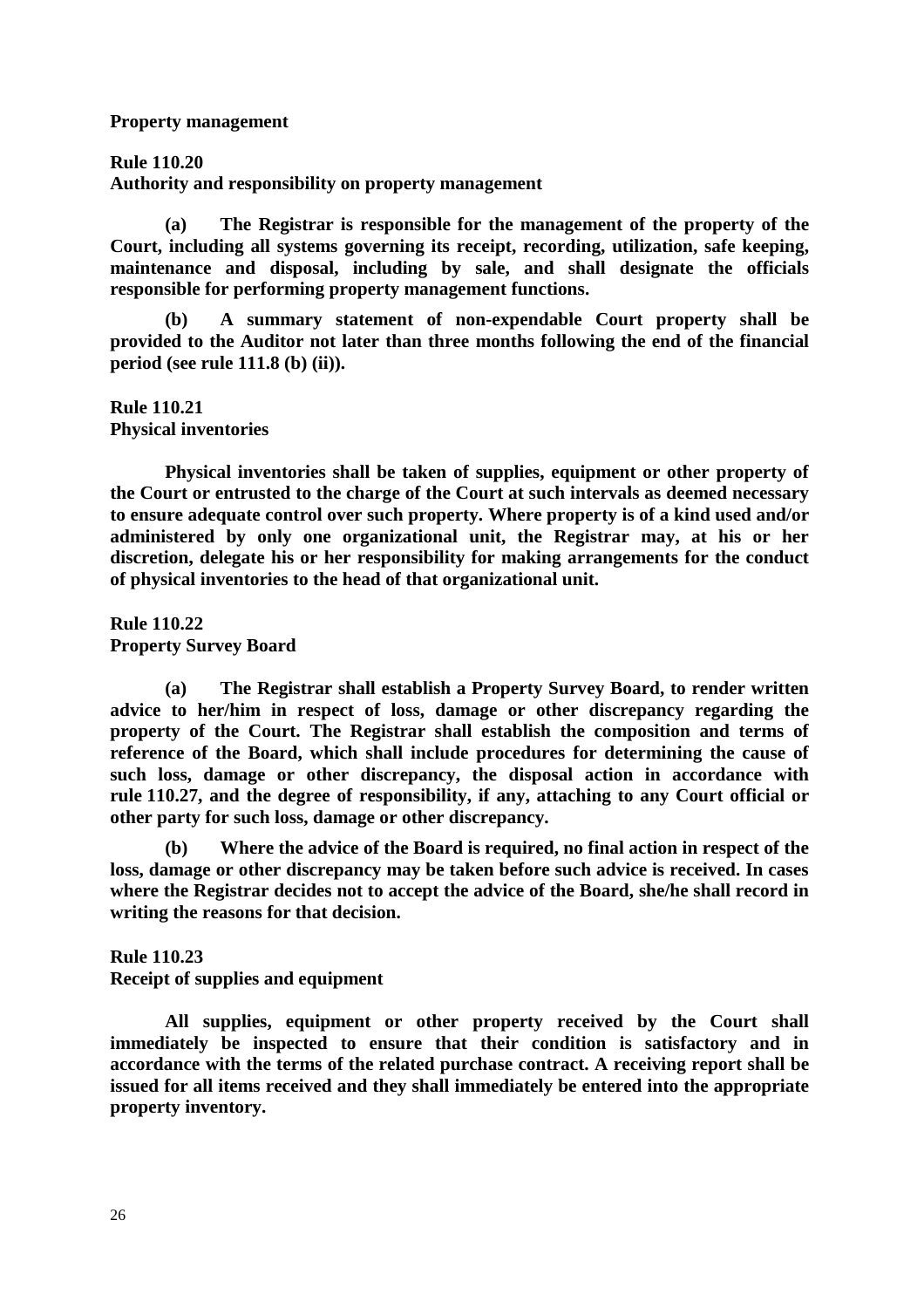#### **Property management**

### **Rule 110.20**

**Authority and responsibility on property management**

 **(a) The Registrar is responsible for the management of the property of the Court, including all systems governing its receipt, recording, utilization, safe keeping, maintenance and disposal, including by sale, and shall designate the officials responsible for performing property management functions.** 

 **(b) A summary statement of non-expendable Court property shall be provided to the Auditor not later than three months following the end of the financial period (see rule 111.8 (b) (ii)).** 

**Rule 110.21 Physical inventories** 

 **Physical inventories shall be taken of supplies, equipment or other property of the Court or entrusted to the charge of the Court at such intervals as deemed necessary to ensure adequate control over such property. Where property is of a kind used and/or administered by only one organizational unit, the Registrar may, at his or her discretion, delegate his or her responsibility for making arrangements for the conduct of physical inventories to the head of that organizational unit.** 

**Rule 110.22 Property Survey Board** 

 **(a) The Registrar shall establish a Property Survey Board, to render written advice to her/him in respect of loss, damage or other discrepancy regarding the property of the Court. The Registrar shall establish the composition and terms of reference of the Board, which shall include procedures for determining the cause of such loss, damage or other discrepancy, the disposal action in accordance with rule 110.27, and the degree of responsibility, if any, attaching to any Court official or other party for such loss, damage or other discrepancy.** 

 **(b) Where the advice of the Board is required, no final action in respect of the loss, damage or other discrepancy may be taken before such advice is received. In cases where the Registrar decides not to accept the advice of the Board, she/he shall record in writing the reasons for that decision.** 

**Rule 110.23 Receipt of supplies and equipment** 

 **All supplies, equipment or other property received by the Court shall immediately be inspected to ensure that their condition is satisfactory and in accordance with the terms of the related purchase contract. A receiving report shall be issued for all items received and they shall immediately be entered into the appropriate property inventory.**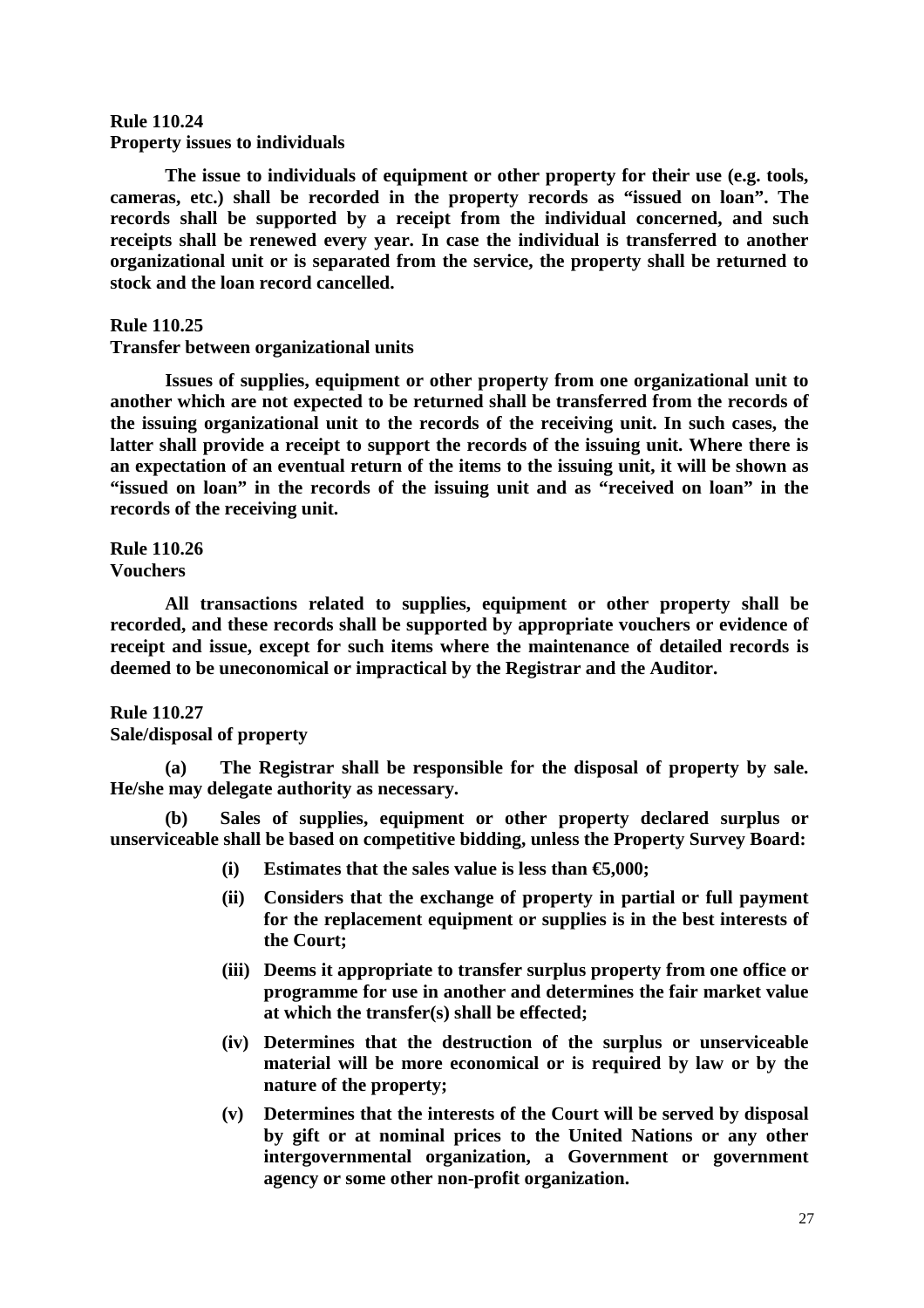### **Rule 110.24 Property issues to individuals**

 **The issue to individuals of equipment or other property for their use (e.g. tools, cameras, etc.) shall be recorded in the property records as "issued on loan". The records shall be supported by a receipt from the individual concerned, and such receipts shall be renewed every year. In case the individual is transferred to another organizational unit or is separated from the service, the property shall be returned to stock and the loan record cancelled.** 

### **Rule 110.25**

### **Transfer between organizational units**

 **Issues of supplies, equipment or other property from one organizational unit to another which are not expected to be returned shall be transferred from the records of the issuing organizational unit to the records of the receiving unit. In such cases, the latter shall provide a receipt to support the records of the issuing unit. Where there is an expectation of an eventual return of the items to the issuing unit, it will be shown as "issued on loan" in the records of the issuing unit and as "received on loan" in the records of the receiving unit.** 

**Rule 110.26 Vouchers** 

 **All transactions related to supplies, equipment or other property shall be recorded, and these records shall be supported by appropriate vouchers or evidence of receipt and issue, except for such items where the maintenance of detailed records is deemed to be uneconomical or impractical by the Registrar and the Auditor.** 

#### **Rule 110.27**

#### **Sale/disposal of property**

 **(a) The Registrar shall be responsible for the disposal of property by sale. He/she may delegate authority as necessary.** 

 **(b) Sales of supplies, equipment or other property declared surplus or unserviceable shall be based on competitive bidding, unless the Property Survey Board:** 

- (i) Estimates that the sales value is less than  $\epsilon$ 5000;
- **(ii) Considers that the exchange of property in partial or full payment for the replacement equipment or supplies is in the best interests of the Court;**
- **(iii) Deems it appropriate to transfer surplus property from one office or programme for use in another and determines the fair market value at which the transfer(s) shall be effected;**
- **(iv) Determines that the destruction of the surplus or unserviceable material will be more economical or is required by law or by the nature of the property;**
- **(v) Determines that the interests of the Court will be served by disposal by gift or at nominal prices to the United Nations or any other intergovernmental organization, a Government or government agency or some other non-profit organization.**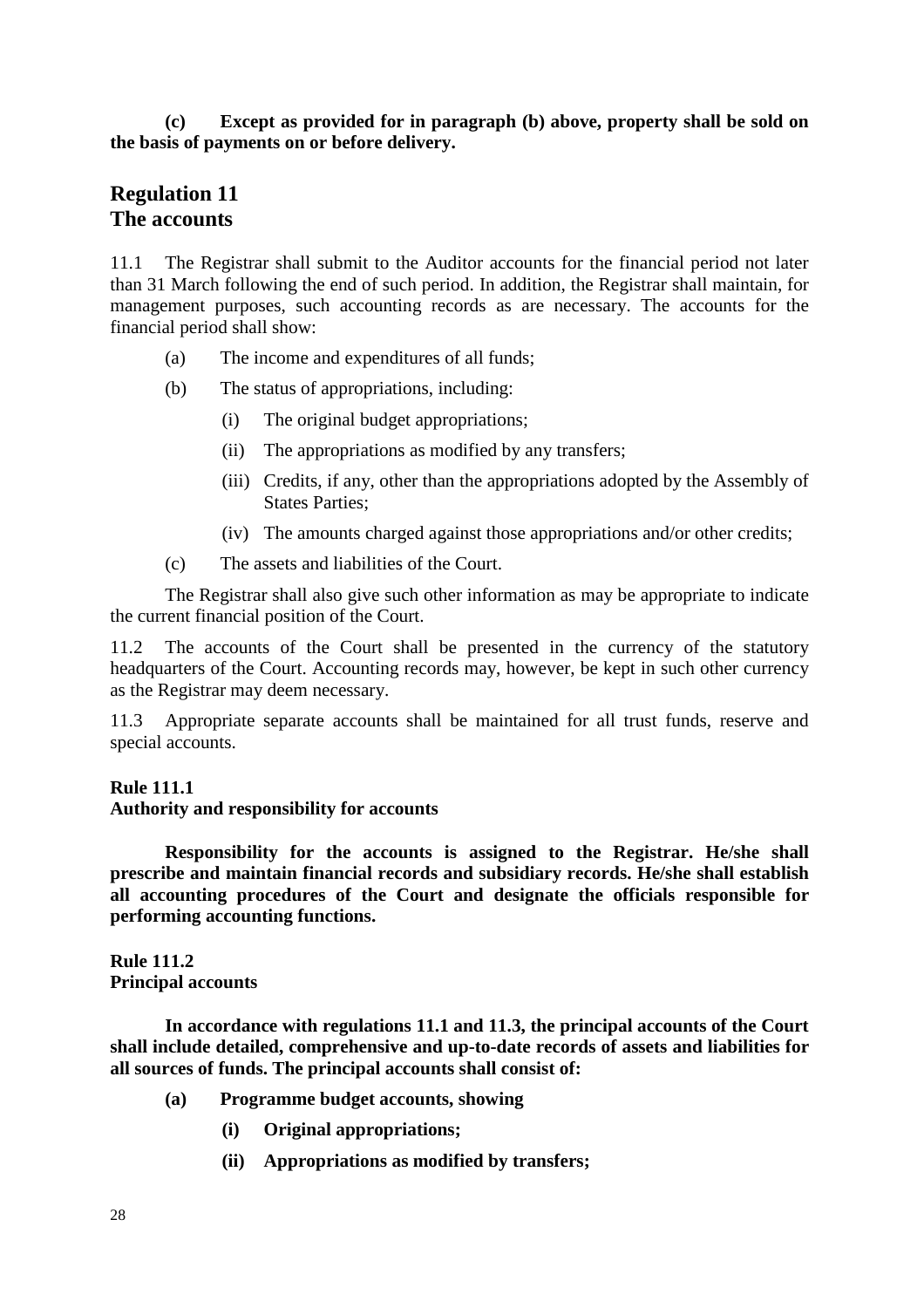# **(c) Except as provided for in paragraph (b) above, property shall be sold on the basis of payments on or before delivery.**

# **Regulation 11 The accounts**

11.1 The Registrar shall submit to the Auditor accounts for the financial period not later than 31 March following the end of such period. In addition, the Registrar shall maintain, for management purposes, such accounting records as are necessary. The accounts for the financial period shall show:

- (a) The income and expenditures of all funds;
- (b) The status of appropriations, including:
	- (i) The original budget appropriations;
	- (ii) The appropriations as modified by any transfers;
	- (iii) Credits, if any, other than the appropriations adopted by the Assembly of States Parties;
	- (iv) The amounts charged against those appropriations and/or other credits;
- (c) The assets and liabilities of the Court.

 The Registrar shall also give such other information as may be appropriate to indicate the current financial position of the Court.

11.2 The accounts of the Court shall be presented in the currency of the statutory headquarters of the Court. Accounting records may, however, be kept in such other currency as the Registrar may deem necessary.

11.3 Appropriate separate accounts shall be maintained for all trust funds, reserve and special accounts.

# **Rule 111.1**

### **Authority and responsibility for accounts**

 **Responsibility for the accounts is assigned to the Registrar. He/she shall prescribe and maintain financial records and subsidiary records. He/she shall establish all accounting procedures of the Court and designate the officials responsible for performing accounting functions.** 

**Rule 111.2 Principal accounts** 

 **In accordance with regulations 11.1 and 11.3, the principal accounts of the Court shall include detailed, comprehensive and up-to-date records of assets and liabilities for all sources of funds. The principal accounts shall consist of:** 

- **(a) Programme budget accounts, showing** 
	- **(i) Original appropriations;**
	- **(ii) Appropriations as modified by transfers;**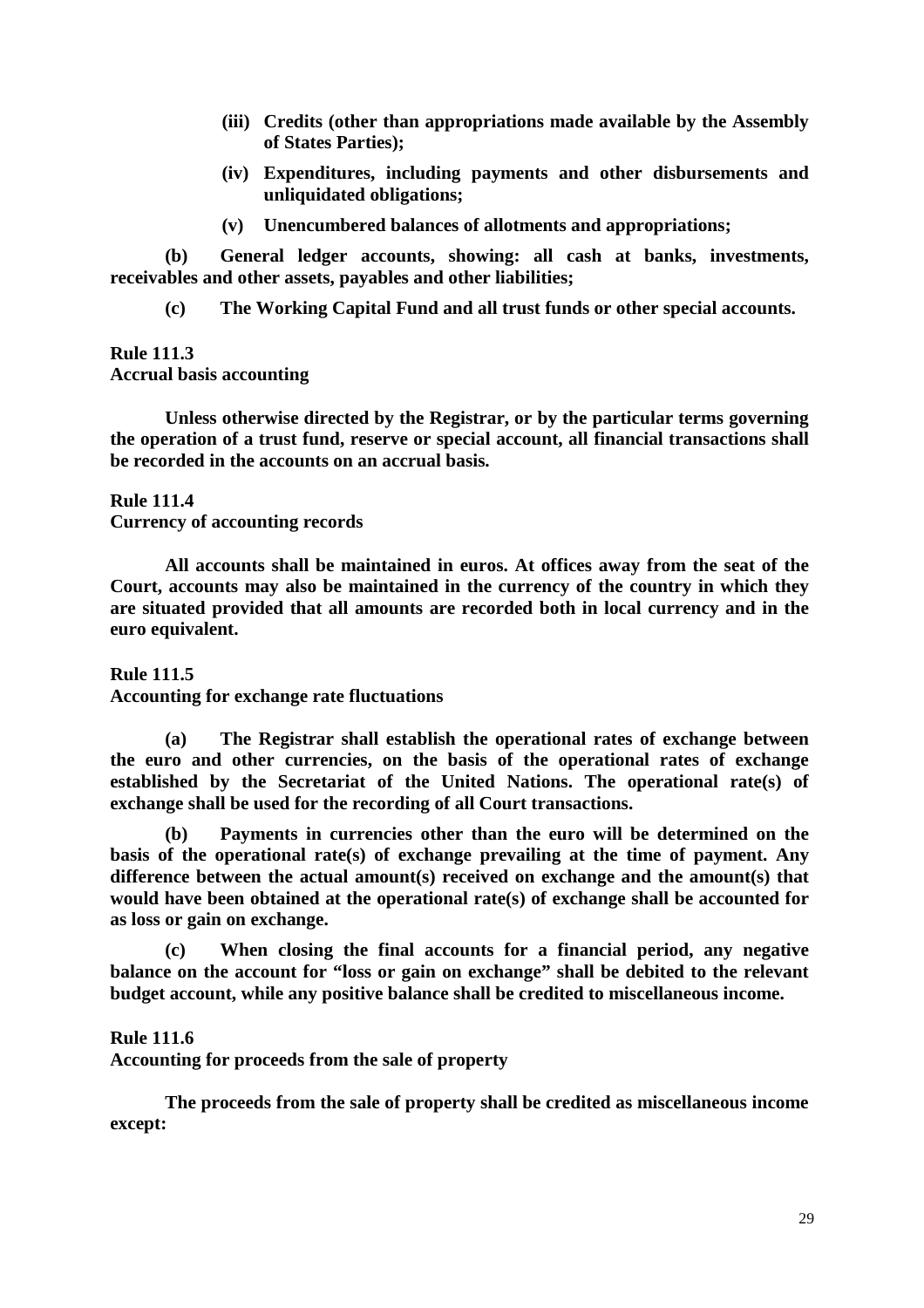- **(iii) Credits (other than appropriations made available by the Assembly of States Parties);**
- **(iv) Expenditures, including payments and other disbursements and unliquidated obligations;**
- **(v) Unencumbered balances of allotments and appropriations;**

 **(b) General ledger accounts, showing: all cash at banks, investments, receivables and other assets, payables and other liabilities;** 

 **(c) The Working Capital Fund and all trust funds or other special accounts.** 

#### **Rule 111.3 Accrual basis accounting**

 **Unless otherwise directed by the Registrar, or by the particular terms governing the operation of a trust fund, reserve or special account, all financial transactions shall be recorded in the accounts on an accrual basis.** 

### **Rule 111.4 Currency of accounting records**

 **All accounts shall be maintained in euros. At offices away from the seat of the Court, accounts may also be maintained in the currency of the country in which they are situated provided that all amounts are recorded both in local currency and in the euro equivalent.** 

**Rule 111.5 Accounting for exchange rate fluctuations** 

 **(a) The Registrar shall establish the operational rates of exchange between the euro and other currencies, on the basis of the operational rates of exchange established by the Secretariat of the United Nations. The operational rate(s) of exchange shall be used for the recording of all Court transactions.** 

 **(b) Payments in currencies other than the euro will be determined on the basis of the operational rate(s) of exchange prevailing at the time of payment. Any difference between the actual amount(s) received on exchange and the amount(s) that would have been obtained at the operational rate(s) of exchange shall be accounted for as loss or gain on exchange.** 

 **(c) When closing the final accounts for a financial period, any negative balance on the account for "loss or gain on exchange" shall be debited to the relevant budget account, while any positive balance shall be credited to miscellaneous income.** 

### **Rule 111.6**

**Accounting for proceeds from the sale of property** 

 **The proceeds from the sale of property shall be credited as miscellaneous income except:**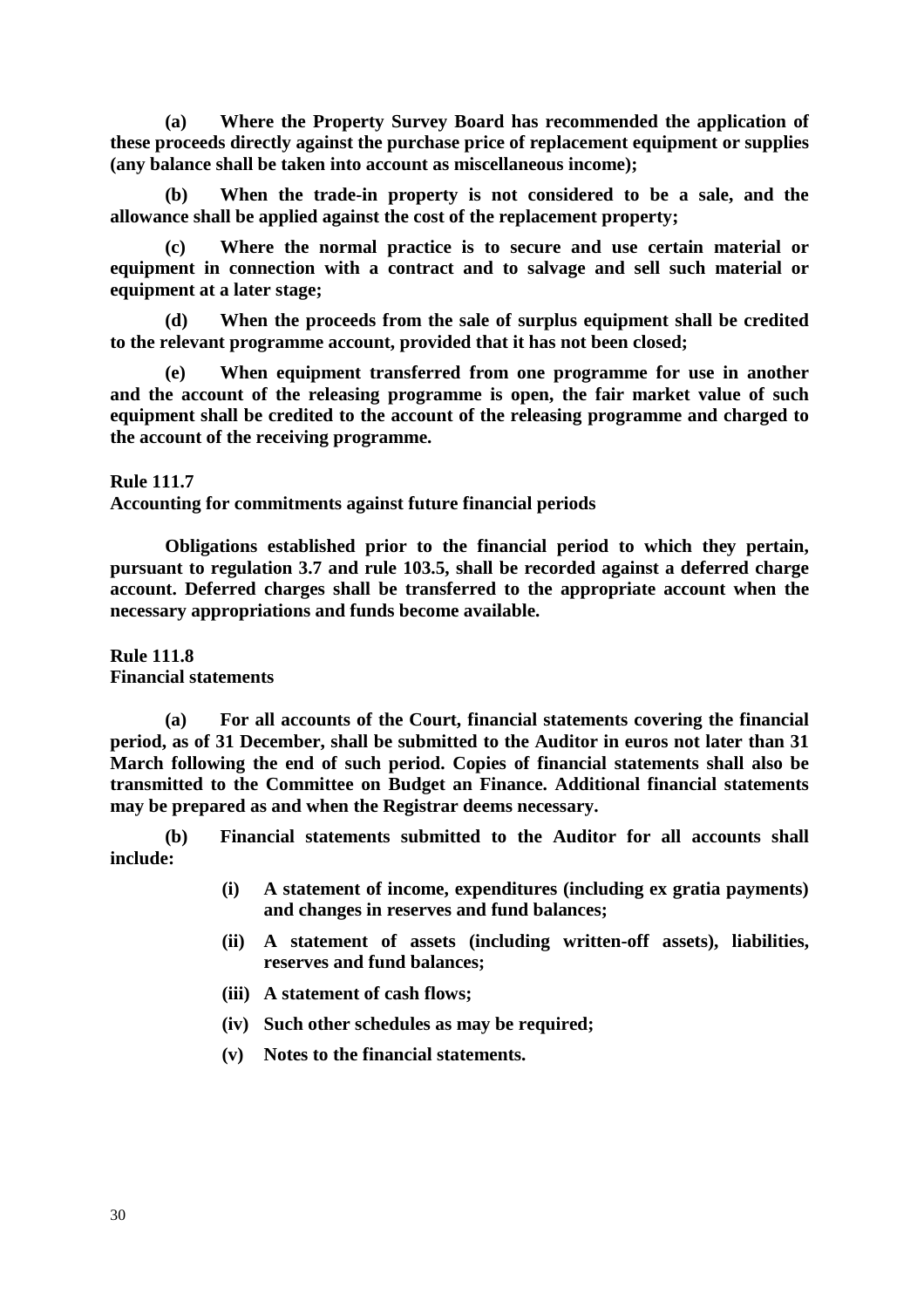**(a) Where the Property Survey Board has recommended the application of these proceeds directly against the purchase price of replacement equipment or supplies (any balance shall be taken into account as miscellaneous income);** 

 **(b) When the trade-in property is not considered to be a sale, and the allowance shall be applied against the cost of the replacement property;** 

 **(c) Where the normal practice is to secure and use certain material or equipment in connection with a contract and to salvage and sell such material or equipment at a later stage;** 

 **(d) When the proceeds from the sale of surplus equipment shall be credited to the relevant programme account, provided that it has not been closed;** 

**When equipment transferred from one programme for use in another and the account of the releasing programme is open, the fair market value of such equipment shall be credited to the account of the releasing programme and charged to the account of the receiving programme.** 

**Rule 111.7 Accounting for commitments against future financial periods** 

 **Obligations established prior to the financial period to which they pertain, pursuant to regulation 3.7 and rule 103.5, shall be recorded against a deferred charge account. Deferred charges shall be transferred to the appropriate account when the necessary appropriations and funds become available.** 

**Rule 111.8 Financial statements** 

 **(a) For all accounts of the Court, financial statements covering the financial period, as of 31 December, shall be submitted to the Auditor in euros not later than 31 March following the end of such period. Copies of financial statements shall also be transmitted to the Committee on Budget an Finance. Additional financial statements may be prepared as and when the Registrar deems necessary.** 

 **(b) Financial statements submitted to the Auditor for all accounts shall include:** 

- **(i) A statement of income, expenditures (including ex gratia payments) and changes in reserves and fund balances;**
- **(ii) A statement of assets (including written-off assets), liabilities, reserves and fund balances;**
- **(iii) A statement of cash flows;**
- **(iv) Such other schedules as may be required;**
- **(v) Notes to the financial statements.**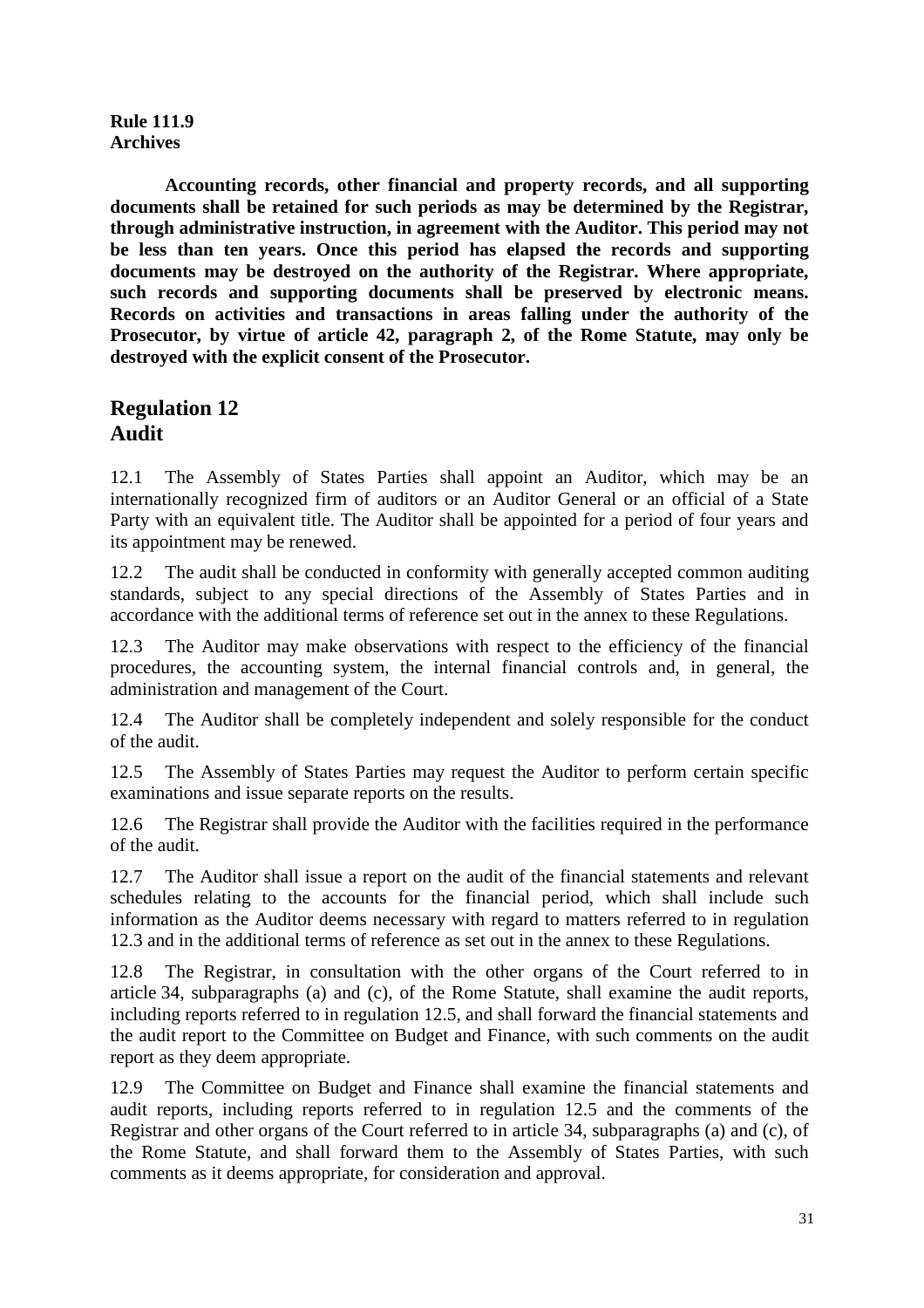## **Rule 111.9 Archives**

 **Accounting records, other financial and property records, and all supporting documents shall be retained for such periods as may be determined by the Registrar, through administrative instruction, in agreement with the Auditor. This period may not be less than ten years. Once this period has elapsed the records and supporting documents may be destroyed on the authority of the Registrar. Where appropriate, such records and supporting documents shall be preserved by electronic means. Records on activities and transactions in areas falling under the authority of the Prosecutor, by virtue of article 42, paragraph 2, of the Rome Statute, may only be destroyed with the explicit consent of the Prosecutor.** 

# **Regulation 12 Audit**

12.1 The Assembly of States Parties shall appoint an Auditor, which may be an internationally recognized firm of auditors or an Auditor General or an official of a State Party with an equivalent title. The Auditor shall be appointed for a period of four years and its appointment may be renewed.

12.2 The audit shall be conducted in conformity with generally accepted common auditing standards, subject to any special directions of the Assembly of States Parties and in accordance with the additional terms of reference set out in the annex to these Regulations.

12.3 The Auditor may make observations with respect to the efficiency of the financial procedures, the accounting system, the internal financial controls and, in general, the administration and management of the Court.

12.4 The Auditor shall be completely independent and solely responsible for the conduct of the audit.

12.5 The Assembly of States Parties may request the Auditor to perform certain specific examinations and issue separate reports on the results.

12.6 The Registrar shall provide the Auditor with the facilities required in the performance of the audit.

12.7 The Auditor shall issue a report on the audit of the financial statements and relevant schedules relating to the accounts for the financial period, which shall include such information as the Auditor deems necessary with regard to matters referred to in regulation 12.3 and in the additional terms of reference as set out in the annex to these Regulations.

12.8 The Registrar, in consultation with the other organs of the Court referred to in article 34, subparagraphs (a) and (c), of the Rome Statute, shall examine the audit reports, including reports referred to in regulation 12.5, and shall forward the financial statements and the audit report to the Committee on Budget and Finance, with such comments on the audit report as they deem appropriate.

12.9 The Committee on Budget and Finance shall examine the financial statements and audit reports, including reports referred to in regulation 12.5 and the comments of the Registrar and other organs of the Court referred to in article 34, subparagraphs (a) and (c), of the Rome Statute, and shall forward them to the Assembly of States Parties, with such comments as it deems appropriate, for consideration and approval.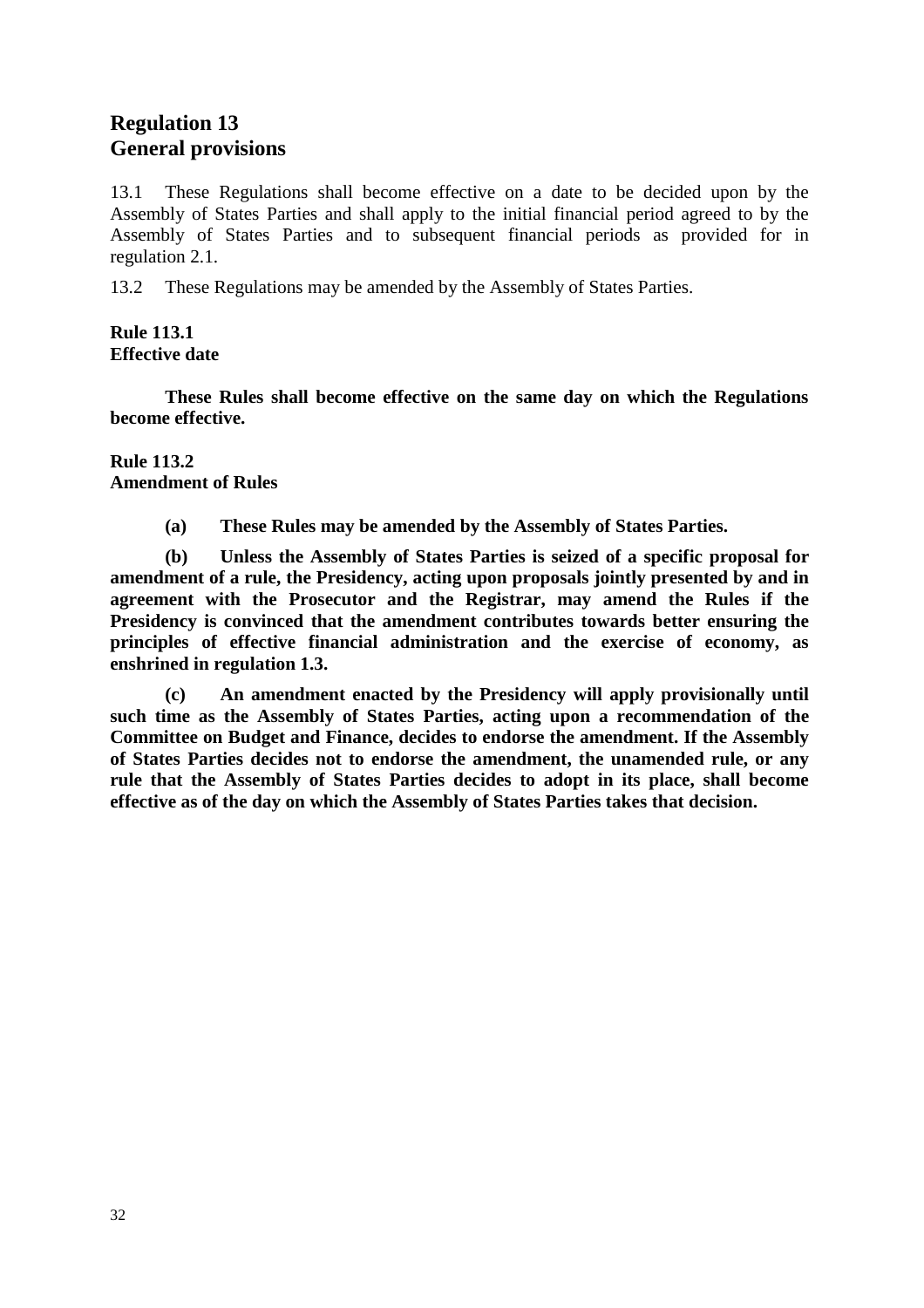# **Regulation 13 General provisions**

13.1 These Regulations shall become effective on a date to be decided upon by the Assembly of States Parties and shall apply to the initial financial period agreed to by the Assembly of States Parties and to subsequent financial periods as provided for in regulation 2.1.

13.2 These Regulations may be amended by the Assembly of States Parties.

### **Rule 113.1 Effective date**

 **These Rules shall become effective on the same day on which the Regulations become effective.** 

**Rule 113.2 Amendment of Rules** 

 **(a) These Rules may be amended by the Assembly of States Parties.** 

 **(b) Unless the Assembly of States Parties is seized of a specific proposal for amendment of a rule, the Presidency, acting upon proposals jointly presented by and in agreement with the Prosecutor and the Registrar, may amend the Rules if the Presidency is convinced that the amendment contributes towards better ensuring the principles of effective financial administration and the exercise of economy, as enshrined in regulation 1.3.** 

 **(c) An amendment enacted by the Presidency will apply provisionally until such time as the Assembly of States Parties, acting upon a recommendation of the Committee on Budget and Finance, decides to endorse the amendment. If the Assembly of States Parties decides not to endorse the amendment, the unamended rule, or any rule that the Assembly of States Parties decides to adopt in its place, shall become effective as of the day on which the Assembly of States Parties takes that decision.**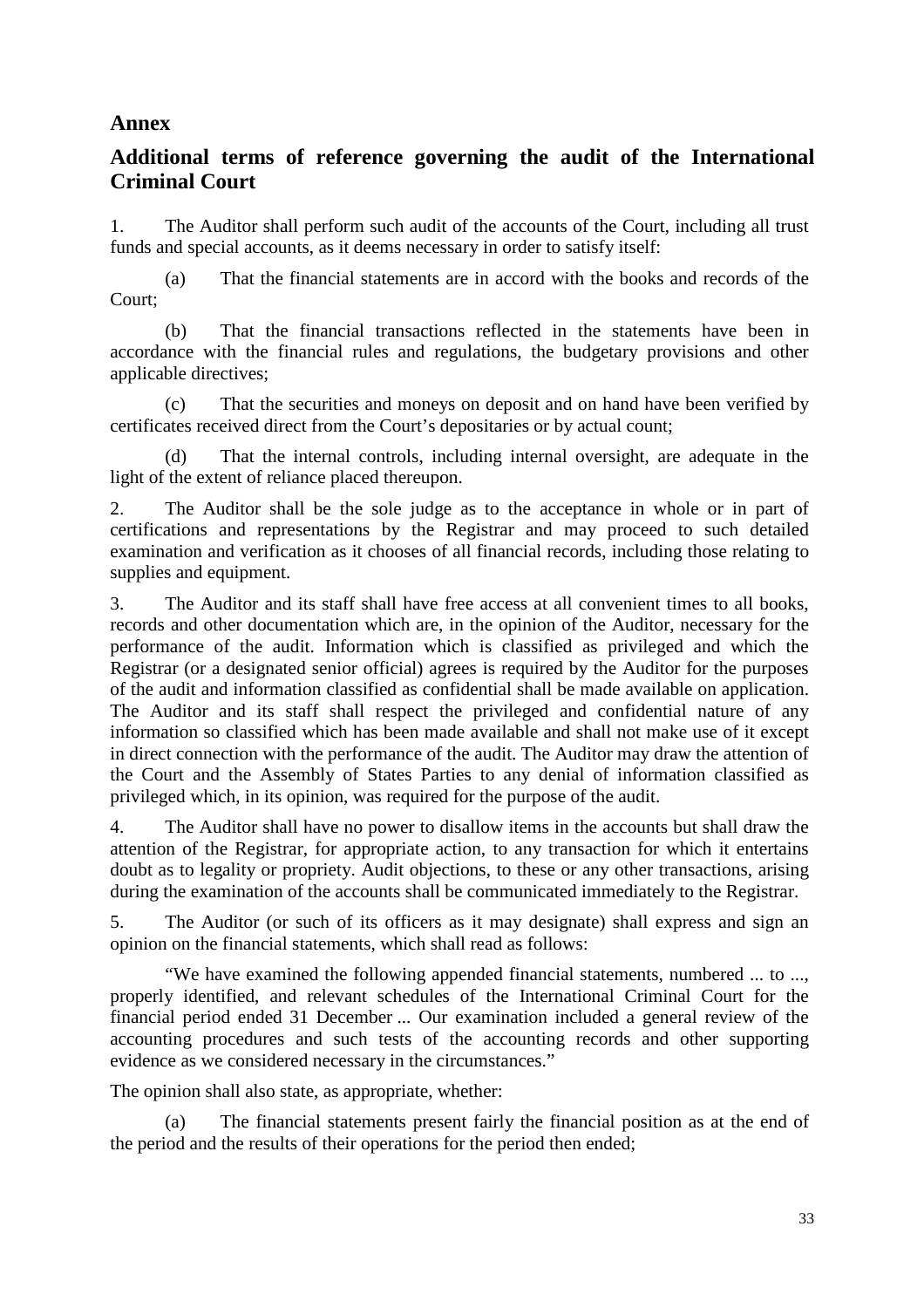# **Annex**

# **Additional terms of reference governing the audit of the International Criminal Court**

1. The Auditor shall perform such audit of the accounts of the Court, including all trust funds and special accounts, as it deems necessary in order to satisfy itself:

 (a) That the financial statements are in accord with the books and records of the Court;

 (b) That the financial transactions reflected in the statements have been in accordance with the financial rules and regulations, the budgetary provisions and other applicable directives;

 (c) That the securities and moneys on deposit and on hand have been verified by certificates received direct from the Court's depositaries or by actual count;

 (d) That the internal controls, including internal oversight, are adequate in the light of the extent of reliance placed thereupon.

2. The Auditor shall be the sole judge as to the acceptance in whole or in part of certifications and representations by the Registrar and may proceed to such detailed examination and verification as it chooses of all financial records, including those relating to supplies and equipment.

3. The Auditor and its staff shall have free access at all convenient times to all books, records and other documentation which are, in the opinion of the Auditor, necessary for the performance of the audit. Information which is classified as privileged and which the Registrar (or a designated senior official) agrees is required by the Auditor for the purposes of the audit and information classified as confidential shall be made available on application. The Auditor and its staff shall respect the privileged and confidential nature of any information so classified which has been made available and shall not make use of it except in direct connection with the performance of the audit. The Auditor may draw the attention of the Court and the Assembly of States Parties to any denial of information classified as privileged which, in its opinion, was required for the purpose of the audit.

4. The Auditor shall have no power to disallow items in the accounts but shall draw the attention of the Registrar, for appropriate action, to any transaction for which it entertains doubt as to legality or propriety. Audit objections, to these or any other transactions, arising during the examination of the accounts shall be communicated immediately to the Registrar.

5. The Auditor (or such of its officers as it may designate) shall express and sign an opinion on the financial statements, which shall read as follows:

 "We have examined the following appended financial statements, numbered ... to ..., properly identified, and relevant schedules of the International Criminal Court for the financial period ended 31 December ... Our examination included a general review of the accounting procedures and such tests of the accounting records and other supporting evidence as we considered necessary in the circumstances."

The opinion shall also state, as appropriate, whether:

 (a) The financial statements present fairly the financial position as at the end of the period and the results of their operations for the period then ended;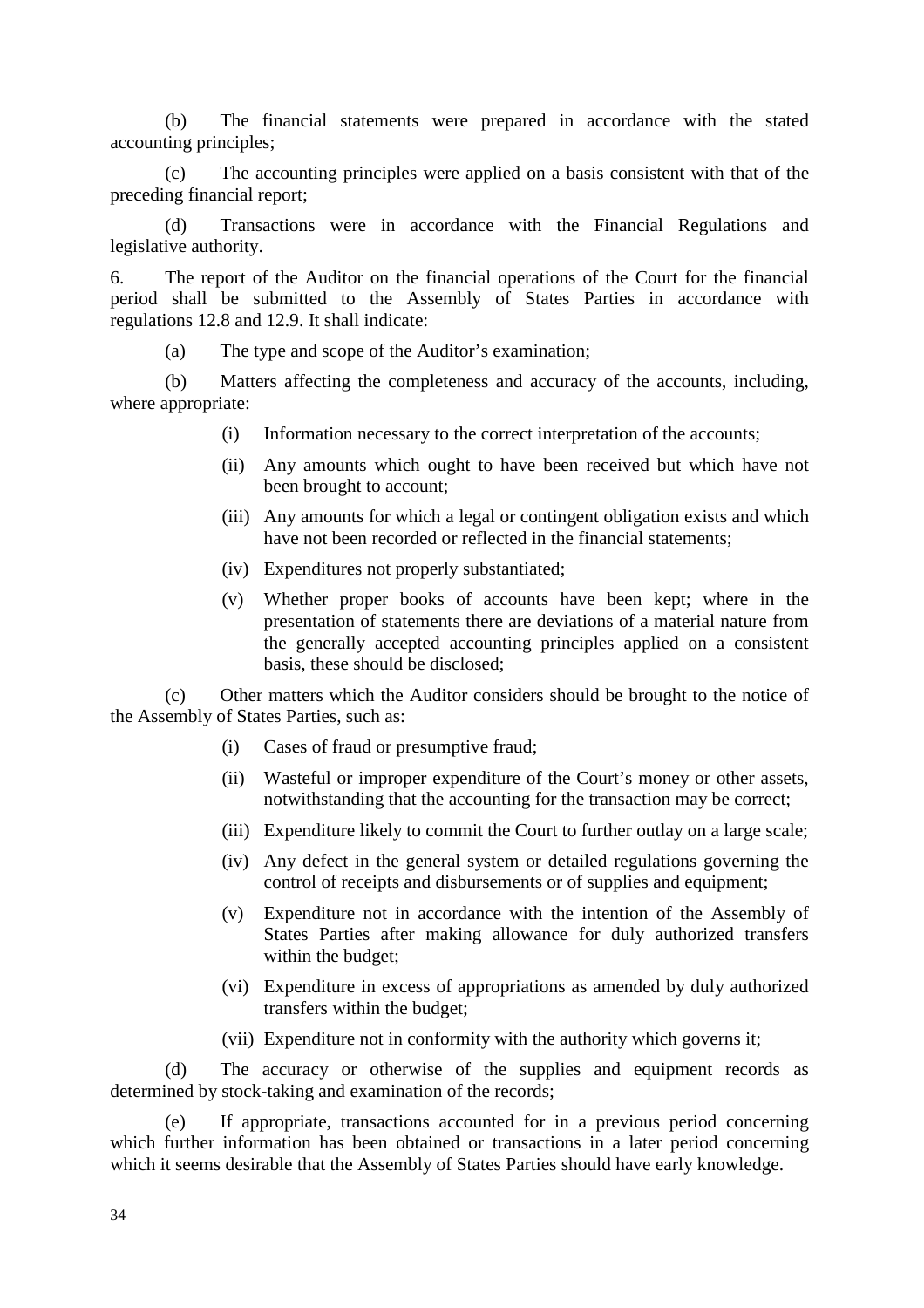(b) The financial statements were prepared in accordance with the stated accounting principles;

 (c) The accounting principles were applied on a basis consistent with that of the preceding financial report;

 (d) Transactions were in accordance with the Financial Regulations and legislative authority.

6. The report of the Auditor on the financial operations of the Court for the financial period shall be submitted to the Assembly of States Parties in accordance with regulations 12.8 and 12.9. It shall indicate:

(a) The type and scope of the Auditor's examination;

 (b) Matters affecting the completeness and accuracy of the accounts, including, where appropriate:

- (i) Information necessary to the correct interpretation of the accounts;
- (ii) Any amounts which ought to have been received but which have not been brought to account;
- (iii) Any amounts for which a legal or contingent obligation exists and which have not been recorded or reflected in the financial statements;
- (iv) Expenditures not properly substantiated;
- (v) Whether proper books of accounts have been kept; where in the presentation of statements there are deviations of a material nature from the generally accepted accounting principles applied on a consistent basis, these should be disclosed;

 (c) Other matters which the Auditor considers should be brought to the notice of the Assembly of States Parties, such as:

- (i) Cases of fraud or presumptive fraud;
- (ii) Wasteful or improper expenditure of the Court's money or other assets, notwithstanding that the accounting for the transaction may be correct;
- (iii) Expenditure likely to commit the Court to further outlay on a large scale;
- (iv) Any defect in the general system or detailed regulations governing the control of receipts and disbursements or of supplies and equipment;
- (v) Expenditure not in accordance with the intention of the Assembly of States Parties after making allowance for duly authorized transfers within the budget;
- (vi) Expenditure in excess of appropriations as amended by duly authorized transfers within the budget;
- (vii) Expenditure not in conformity with the authority which governs it;

 (d) The accuracy or otherwise of the supplies and equipment records as determined by stock-taking and examination of the records;

 (e) If appropriate, transactions accounted for in a previous period concerning which further information has been obtained or transactions in a later period concerning which it seems desirable that the Assembly of States Parties should have early knowledge.